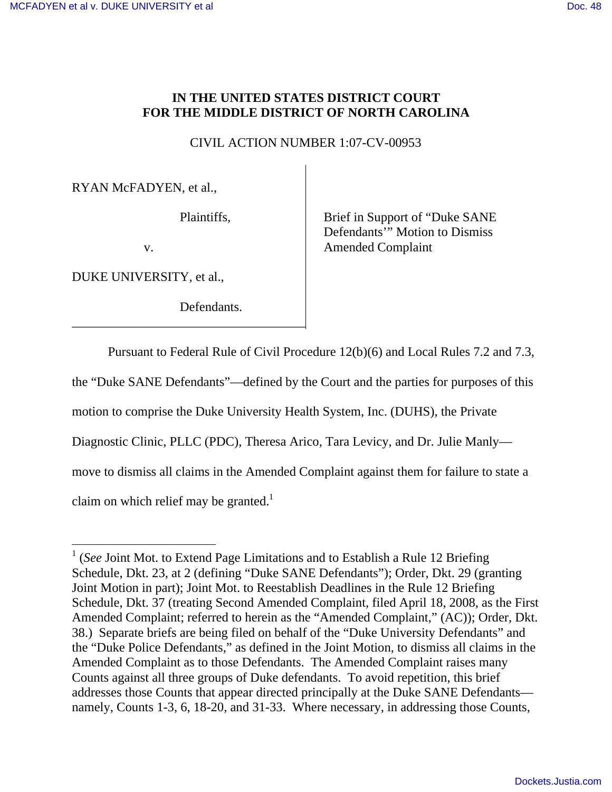# **IN THE UNITED STATES DISTRICT COURT FOR THE MIDDLE DISTRICT OF NORTH CAROLINA**

CIVIL ACTION NUMBER 1:07-CV-00953

RYAN McFADYEN, et al.,

Plaintiffs,

v.

DUKE UNIVERSITY, et al.,

Defendants.

\_\_\_\_\_\_\_\_\_\_\_\_\_\_\_\_\_\_\_\_\_\_\_\_\_\_\_\_\_\_\_\_\_\_\_\_

Brief in Support of "Duke SANE Defendants<sup>"</sup> Motion to Dismiss Amended Complaint

Pursuant to Federal Rule of Civil Procedure 12(b)(6) and Local Rules 7.2 and 7.3,

the "Duke SANE Defendants"—defined by the Court and the parties for purposes of this

motion to comprise the Duke University Health System, Inc. (DUHS), the Private

Diagnostic Clinic, PLLC (PDC), Theresa Arico, Tara Levicy, and Dr. Julie Manly—

move to dismiss all claims in the Amended Complaint against them for failure to state a

claim on which relief may be granted.<sup>1</sup>

<sup>&</sup>lt;sup>1</sup> (*See* Joint Mot. to Extend Page Limitations and to Establish a Rule 12 Briefing Schedule, Dkt. 23, at 2 (defining "Duke SANE Defendants"); Order, Dkt. 29 (granting Joint Motion in part); Joint Mot. to Reestablish Deadlines in the Rule 12 Briefing Schedule, Dkt. 37 (treating Second Amended Complaint, filed April 18, 2008, as the First Amended Complaint; referred to herein as the "Amended Complaint," (AC)); Order, Dkt. 38.) Separate briefs are being filed on behalf of the "Duke University Defendants" and the "Duke Police Defendants," as defined in the Joint Motion, to dismiss all claims in the Amended Complaint as to those Defendants. The Amended Complaint raises many Counts against all three groups of Duke defendants. To avoid repetition, this brief addresses those Counts that appear directed principally at the Duke SANE Defendants namely, Counts 1-3, 6, 18-20, and 31-33. Where necessary, in addressing those Counts,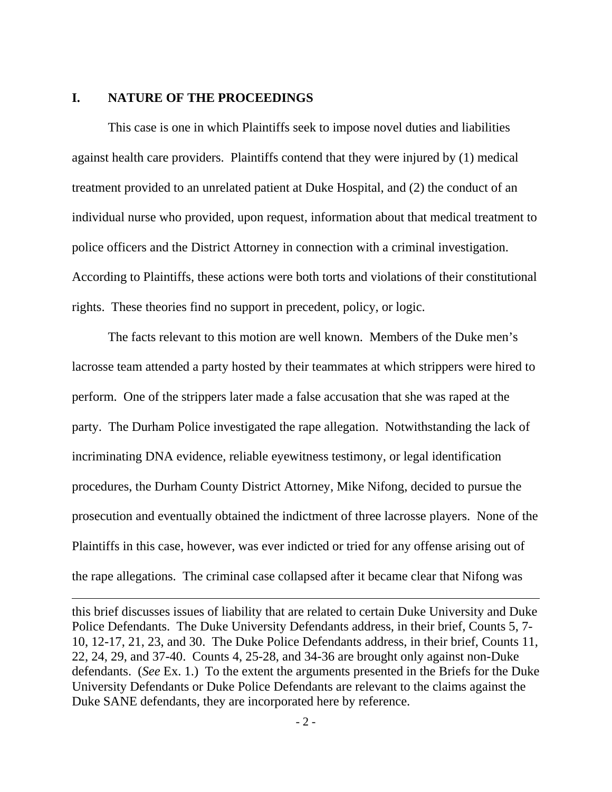#### **I. NATURE OF THE PROCEEDINGS**

 $\overline{a}$ 

 This case is one in which Plaintiffs seek to impose novel duties and liabilities against health care providers. Plaintiffs contend that they were injured by (1) medical treatment provided to an unrelated patient at Duke Hospital, and (2) the conduct of an individual nurse who provided, upon request, information about that medical treatment to police officers and the District Attorney in connection with a criminal investigation. According to Plaintiffs, these actions were both torts and violations of their constitutional rights. These theories find no support in precedent, policy, or logic.

 The facts relevant to this motion are well known. Members of the Duke men's lacrosse team attended a party hosted by their teammates at which strippers were hired to perform. One of the strippers later made a false accusation that she was raped at the party. The Durham Police investigated the rape allegation. Notwithstanding the lack of incriminating DNA evidence, reliable eyewitness testimony, or legal identification procedures, the Durham County District Attorney, Mike Nifong, decided to pursue the prosecution and eventually obtained the indictment of three lacrosse players. None of the Plaintiffs in this case, however, was ever indicted or tried for any offense arising out of the rape allegations. The criminal case collapsed after it became clear that Nifong was

this brief discusses issues of liability that are related to certain Duke University and Duke Police Defendants. The Duke University Defendants address, in their brief, Counts 5, 7- 10, 12-17, 21, 23, and 30. The Duke Police Defendants address, in their brief, Counts 11, 22, 24, 29, and 37-40. Counts 4, 25-28, and 34-36 are brought only against non-Duke defendants. (*See* Ex. 1.) To the extent the arguments presented in the Briefs for the Duke University Defendants or Duke Police Defendants are relevant to the claims against the Duke SANE defendants, they are incorporated here by reference.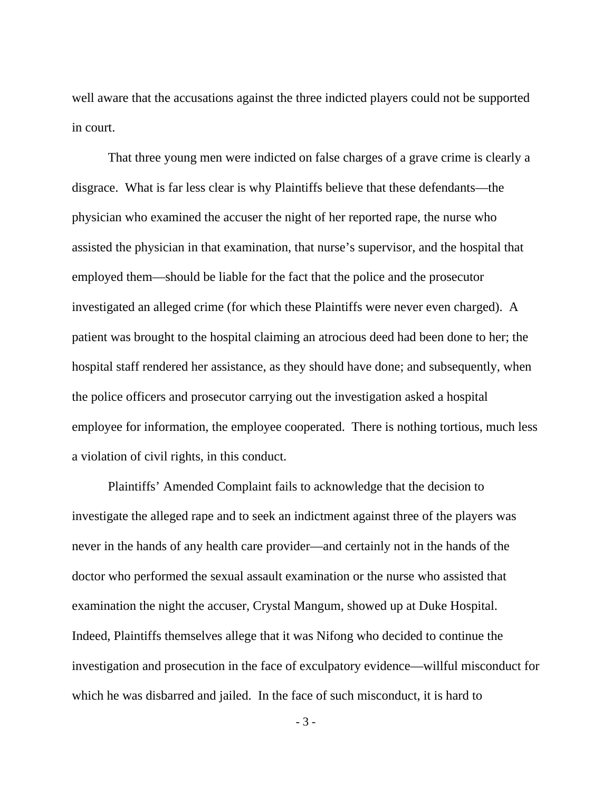well aware that the accusations against the three indicted players could not be supported in court.

That three young men were indicted on false charges of a grave crime is clearly a disgrace. What is far less clear is why Plaintiffs believe that these defendants—the physician who examined the accuser the night of her reported rape, the nurse who assisted the physician in that examination, that nurse's supervisor, and the hospital that employed them—should be liable for the fact that the police and the prosecutor investigated an alleged crime (for which these Plaintiffs were never even charged). A patient was brought to the hospital claiming an atrocious deed had been done to her; the hospital staff rendered her assistance, as they should have done; and subsequently, when the police officers and prosecutor carrying out the investigation asked a hospital employee for information, the employee cooperated. There is nothing tortious, much less a violation of civil rights, in this conduct.

 Plaintiffs' Amended Complaint fails to acknowledge that the decision to investigate the alleged rape and to seek an indictment against three of the players was never in the hands of any health care provider—and certainly not in the hands of the doctor who performed the sexual assault examination or the nurse who assisted that examination the night the accuser, Crystal Mangum, showed up at Duke Hospital. Indeed, Plaintiffs themselves allege that it was Nifong who decided to continue the investigation and prosecution in the face of exculpatory evidence—willful misconduct for which he was disbarred and jailed. In the face of such misconduct, it is hard to

- 3 -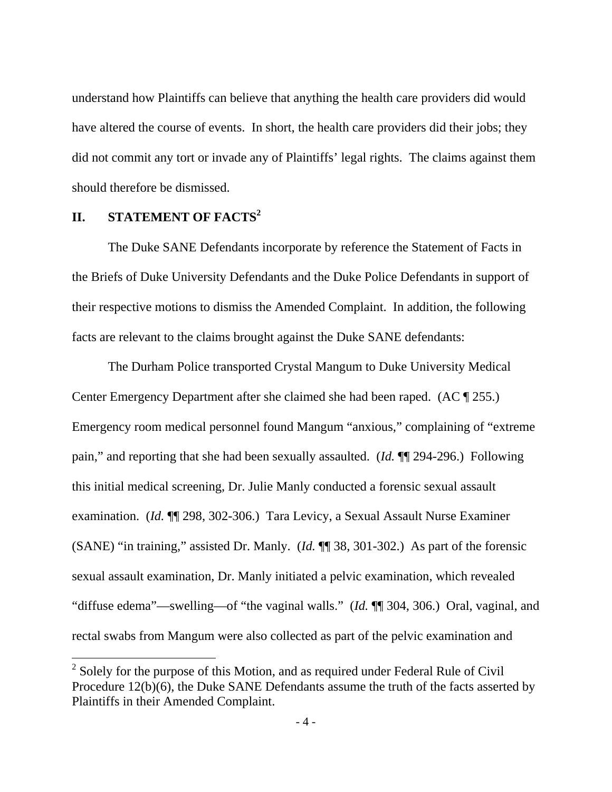understand how Plaintiffs can believe that anything the health care providers did would have altered the course of events. In short, the health care providers did their jobs; they did not commit any tort or invade any of Plaintiffs' legal rights. The claims against them should therefore be dismissed.

# **II.** STATEMENT OF FACTS<sup>2</sup>

 $\overline{a}$ 

 The Duke SANE Defendants incorporate by reference the Statement of Facts in the Briefs of Duke University Defendants and the Duke Police Defendants in support of their respective motions to dismiss the Amended Complaint. In addition, the following facts are relevant to the claims brought against the Duke SANE defendants:

 The Durham Police transported Crystal Mangum to Duke University Medical Center Emergency Department after she claimed she had been raped. (AC ¶ 255.) Emergency room medical personnel found Mangum "anxious," complaining of "extreme pain," and reporting that she had been sexually assaulted. (*Id.* ¶¶ 294-296.) Following this initial medical screening, Dr. Julie Manly conducted a forensic sexual assault examination. (*Id.* ¶¶ 298, 302-306.) Tara Levicy, a Sexual Assault Nurse Examiner (SANE) "in training," assisted Dr. Manly. (*Id.* ¶¶ 38, 301-302.) As part of the forensic sexual assault examination, Dr. Manly initiated a pelvic examination, which revealed "diffuse edema"—swelling—of "the vaginal walls." (*Id.* ¶¶ 304, 306.) Oral, vaginal, and rectal swabs from Mangum were also collected as part of the pelvic examination and

 $2^2$  Solely for the purpose of this Motion, and as required under Federal Rule of Civil Procedure  $12(b)(6)$ , the Duke SANE Defendants assume the truth of the facts asserted by Plaintiffs in their Amended Complaint.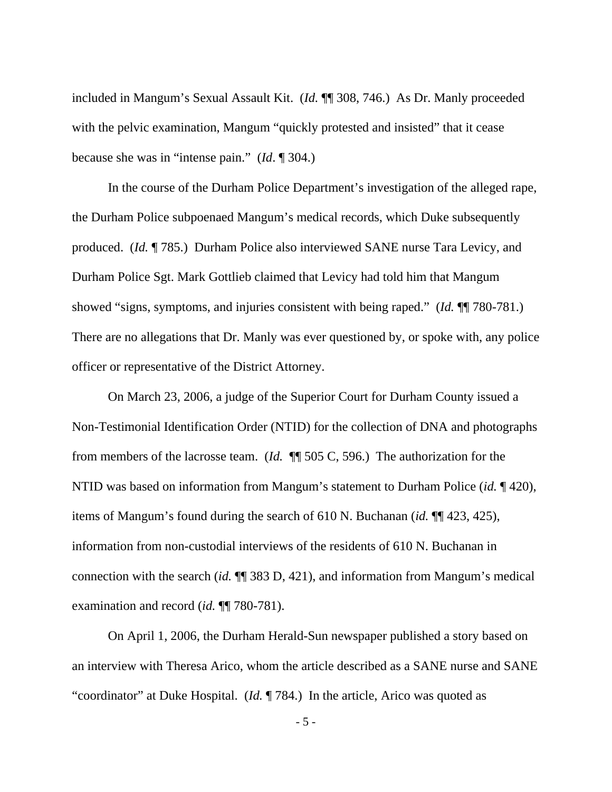included in Mangum's Sexual Assault Kit. (*Id.* ¶¶ 308, 746.) As Dr. Manly proceeded with the pelvic examination, Mangum "quickly protested and insisted" that it cease because she was in "intense pain." (*Id*. ¶ 304.)

 In the course of the Durham Police Department's investigation of the alleged rape, the Durham Police subpoenaed Mangum's medical records, which Duke subsequently produced. (*Id.* ¶ 785.) Durham Police also interviewed SANE nurse Tara Levicy, and Durham Police Sgt. Mark Gottlieb claimed that Levicy had told him that Mangum showed "signs, symptoms, and injuries consistent with being raped." (*Id.* ¶¶ 780-781.) There are no allegations that Dr. Manly was ever questioned by, or spoke with, any police officer or representative of the District Attorney.

 On March 23, 2006, a judge of the Superior Court for Durham County issued a Non-Testimonial Identification Order (NTID) for the collection of DNA and photographs from members of the lacrosse team. (*Id.* ¶¶ 505 C, 596.) The authorization for the NTID was based on information from Mangum's statement to Durham Police (*id.* ¶ 420), items of Mangum's found during the search of 610 N. Buchanan (*id.* ¶¶ 423, 425), information from non-custodial interviews of the residents of 610 N. Buchanan in connection with the search (*id.* ¶¶ 383 D, 421), and information from Mangum's medical examination and record (*id.* ¶¶ 780-781).

 On April 1, 2006, the Durham Herald-Sun newspaper published a story based on an interview with Theresa Arico, whom the article described as a SANE nurse and SANE "coordinator" at Duke Hospital. (*Id.* ¶ 784.) In the article, Arico was quoted as

- 5 -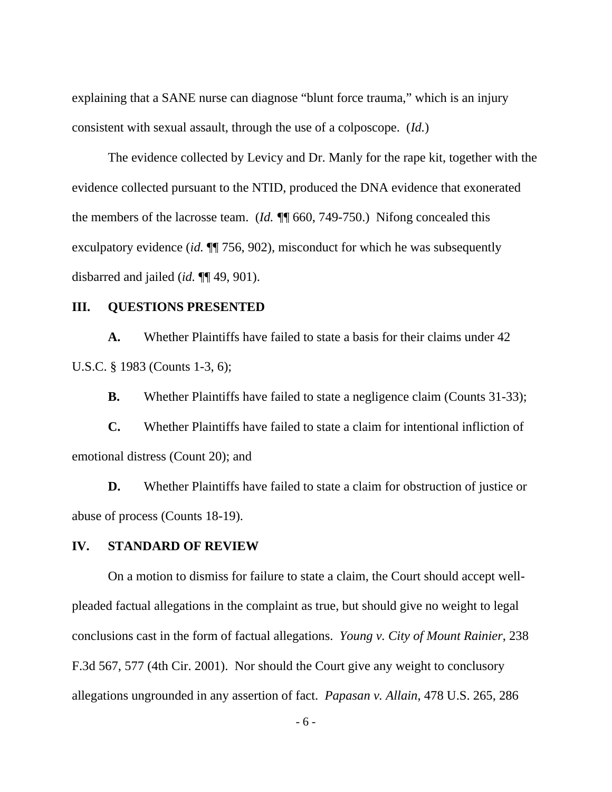explaining that a SANE nurse can diagnose "blunt force trauma," which is an injury consistent with sexual assault, through the use of a colposcope. (*Id.*)

 The evidence collected by Levicy and Dr. Manly for the rape kit, together with the evidence collected pursuant to the NTID, produced the DNA evidence that exonerated the members of the lacrosse team. (*Id. ¶*¶ 660, 749-750.) Nifong concealed this exculpatory evidence *(id.*  $\P$ <sup> $\uparrow$ </sup> 756, 902), misconduct for which he was subsequently disbarred and jailed (*id.* ¶¶ 49, 901).

#### **III. QUESTIONS PRESENTED**

 **A.** Whether Plaintiffs have failed to state a basis for their claims under 42 U.S.C. § 1983 (Counts 1-3, 6);

**B.** Whether Plaintiffs have failed to state a negligence claim (Counts 31-33);

**C.** Whether Plaintiffs have failed to state a claim for intentional infliction of emotional distress (Count 20); and

**D.** Whether Plaintiffs have failed to state a claim for obstruction of justice or abuse of process (Counts 18-19).

### **IV. STANDARD OF REVIEW**

 On a motion to dismiss for failure to state a claim, the Court should accept wellpleaded factual allegations in the complaint as true, but should give no weight to legal conclusions cast in the form of factual allegations. *Young v. City of Mount Rainier*, 238 F.3d 567, 577 (4th Cir. 2001). Nor should the Court give any weight to conclusory allegations ungrounded in any assertion of fact. *Papasan v. Allain*, 478 U.S. 265, 286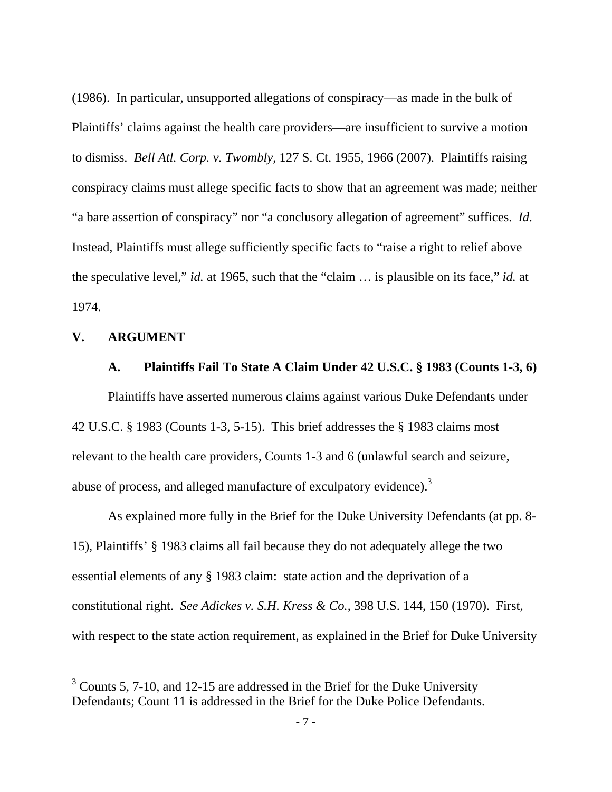(1986). In particular, unsupported allegations of conspiracy—as made in the bulk of Plaintiffs' claims against the health care providers—are insufficient to survive a motion to dismiss. *Bell Atl. Corp. v. Twombly*, 127 S. Ct. 1955, 1966 (2007). Plaintiffs raising conspiracy claims must allege specific facts to show that an agreement was made; neither "a bare assertion of conspiracy" nor "a conclusory allegation of agreement" suffices. *Id.* Instead, Plaintiffs must allege sufficiently specific facts to "raise a right to relief above the speculative level," *id.* at 1965, such that the "claim … is plausible on its face," *id.* at 1974.

## **V. ARGUMENT**

 $\overline{a}$ 

### **A. Plaintiffs Fail To State A Claim Under 42 U.S.C. § 1983 (Counts 1-3, 6)**

 Plaintiffs have asserted numerous claims against various Duke Defendants under 42 U.S.C. § 1983 (Counts 1-3, 5-15). This brief addresses the § 1983 claims most relevant to the health care providers, Counts 1-3 and 6 (unlawful search and seizure, abuse of process, and alleged manufacture of exculpatory evidence). $3$ 

 As explained more fully in the Brief for the Duke University Defendants (at pp. 8- 15), Plaintiffs' § 1983 claims all fail because they do not adequately allege the two essential elements of any § 1983 claim: state action and the deprivation of a constitutional right. *See Adickes v. S.H. Kress & Co.*, 398 U.S. 144, 150 (1970). First, with respect to the state action requirement, as explained in the Brief for Duke University

 $3$  Counts 5, 7-10, and 12-15 are addressed in the Brief for the Duke University Defendants; Count 11 is addressed in the Brief for the Duke Police Defendants.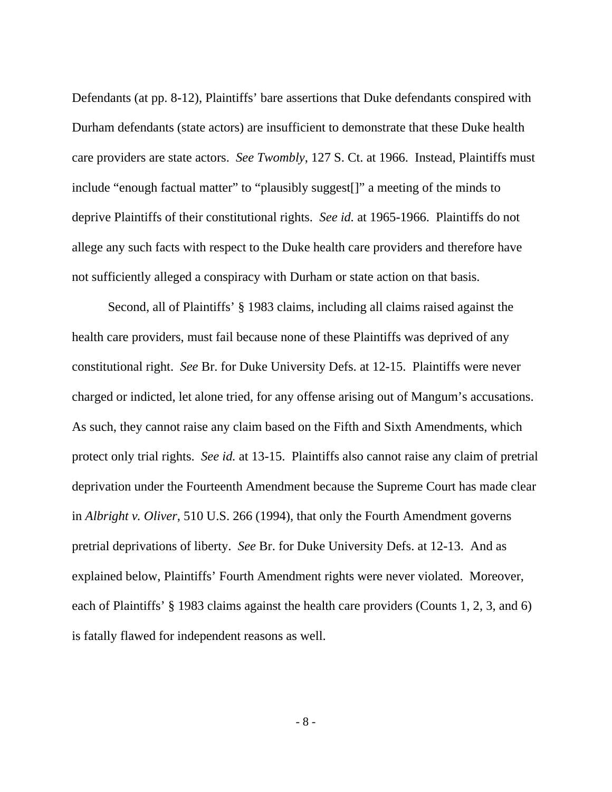Defendants (at pp. 8-12), Plaintiffs' bare assertions that Duke defendants conspired with Durham defendants (state actors) are insufficient to demonstrate that these Duke health care providers are state actors. *See Twombly*, 127 S. Ct. at 1966. Instead, Plaintiffs must include "enough factual matter" to "plausibly suggest[]" a meeting of the minds to deprive Plaintiffs of their constitutional rights. *See id.* at 1965-1966. Plaintiffs do not allege any such facts with respect to the Duke health care providers and therefore have not sufficiently alleged a conspiracy with Durham or state action on that basis.

 Second, all of Plaintiffs' § 1983 claims, including all claims raised against the health care providers, must fail because none of these Plaintiffs was deprived of any constitutional right. *See* Br. for Duke University Defs. at 12-15. Plaintiffs were never charged or indicted, let alone tried, for any offense arising out of Mangum's accusations. As such, they cannot raise any claim based on the Fifth and Sixth Amendments, which protect only trial rights. *See id.* at 13-15. Plaintiffs also cannot raise any claim of pretrial deprivation under the Fourteenth Amendment because the Supreme Court has made clear in *Albright v. Oliver*, 510 U.S. 266 (1994), that only the Fourth Amendment governs pretrial deprivations of liberty. *See* Br. for Duke University Defs. at 12-13. And as explained below, Plaintiffs' Fourth Amendment rights were never violated. Moreover, each of Plaintiffs' § 1983 claims against the health care providers (Counts 1, 2, 3, and 6) is fatally flawed for independent reasons as well.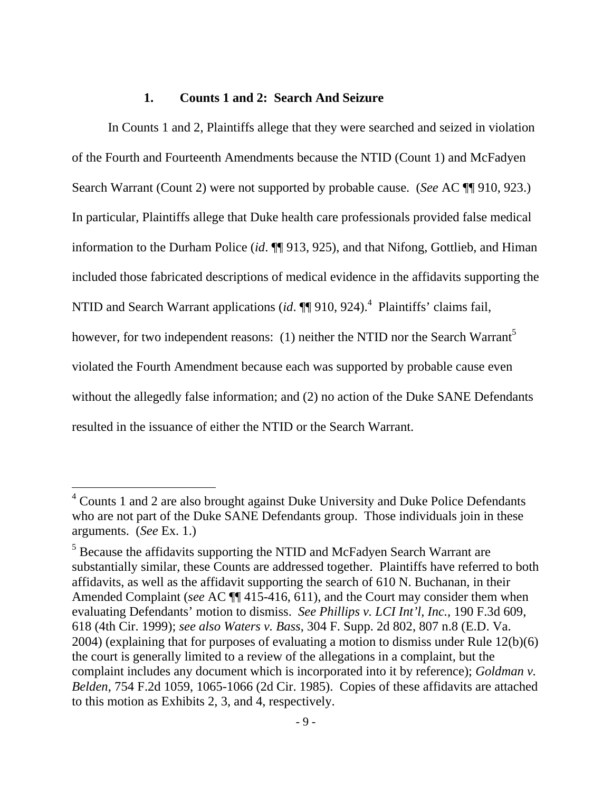#### **1. Counts 1 and 2: Search And Seizure**

In Counts 1 and 2, Plaintiffs allege that they were searched and seized in violation of the Fourth and Fourteenth Amendments because the NTID (Count 1) and McFadyen Search Warrant (Count 2) were not supported by probable cause. (*See* AC ¶¶ 910, 923.) In particular, Plaintiffs allege that Duke health care professionals provided false medical information to the Durham Police (*id*. ¶¶ 913, 925), and that Nifong, Gottlieb, and Himan included those fabricated descriptions of medical evidence in the affidavits supporting the NTID and Search Warrant applications (*id*.  $\P\P$ 910, 924).<sup>4</sup> Plaintiffs' claims fail, however, for two independent reasons: (1) neither the NTID nor the Search Warrant<sup>5</sup> violated the Fourth Amendment because each was supported by probable cause even without the allegedly false information; and (2) no action of the Duke SANE Defendants resulted in the issuance of either the NTID or the Search Warrant.

<sup>&</sup>lt;sup>4</sup> Counts 1 and 2 are also brought against Duke University and Duke Police Defendants who are not part of the Duke SANE Defendants group. Those individuals join in these arguments. (*See* Ex. 1.)

<sup>&</sup>lt;sup>5</sup> Because the affidavits supporting the NTID and McFadyen Search Warrant are substantially similar, these Counts are addressed together. Plaintiffs have referred to both affidavits, as well as the affidavit supporting the search of 610 N. Buchanan, in their Amended Complaint (*see* AC ¶¶ 415-416, 611), and the Court may consider them when evaluating Defendants' motion to dismiss. *See Phillips v. LCI Int'l, Inc.,* 190 F.3d 609, 618 (4th Cir. 1999); *see also Waters v. Bass*, 304 F. Supp. 2d 802, 807 n.8 (E.D. Va. 2004) (explaining that for purposes of evaluating a motion to dismiss under Rule 12(b)(6) the court is generally limited to a review of the allegations in a complaint, but the complaint includes any document which is incorporated into it by reference); *Goldman v. Belden*, 754 F.2d 1059, 1065-1066 (2d Cir. 1985). Copies of these affidavits are attached to this motion as Exhibits 2, 3, and 4, respectively.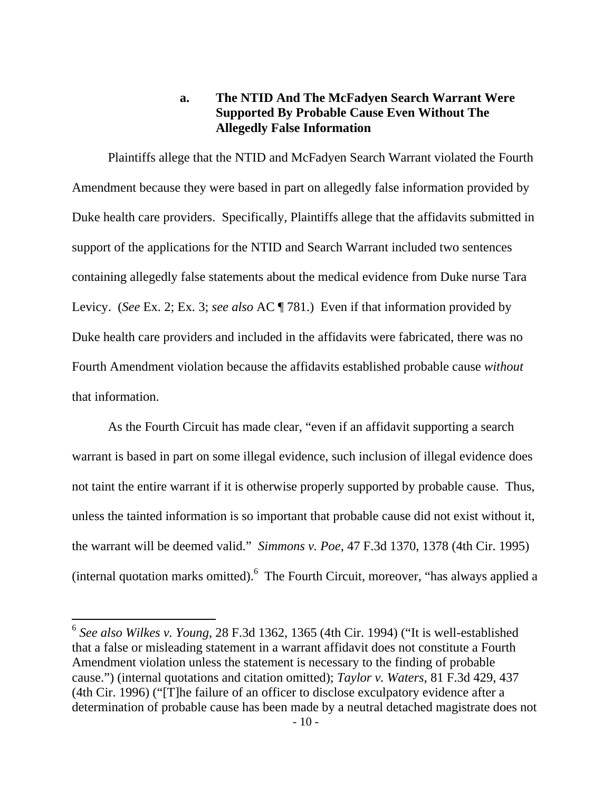# **a. The NTID And The McFadyen Search Warrant Were Supported By Probable Cause Even Without The Allegedly False Information**

 Plaintiffs allege that the NTID and McFadyen Search Warrant violated the Fourth Amendment because they were based in part on allegedly false information provided by Duke health care providers. Specifically, Plaintiffs allege that the affidavits submitted in support of the applications for the NTID and Search Warrant included two sentences containing allegedly false statements about the medical evidence from Duke nurse Tara Levicy. (*See* Ex. 2; Ex. 3; *see also* AC ¶ 781.) Even if that information provided by Duke health care providers and included in the affidavits were fabricated, there was no Fourth Amendment violation because the affidavits established probable cause *without* that information.

 As the Fourth Circuit has made clear, "even if an affidavit supporting a search warrant is based in part on some illegal evidence, such inclusion of illegal evidence does not taint the entire warrant if it is otherwise properly supported by probable cause. Thus, unless the tainted information is so important that probable cause did not exist without it, the warrant will be deemed valid." *Simmons v. Poe*, 47 F.3d 1370, 1378 (4th Cir. 1995) (internal quotation marks omitted). <sup>6</sup> The Fourth Circuit, moreover, "has always applied a

<sup>6</sup> *See also Wilkes v. Young*, 28 F.3d 1362, 1365 (4th Cir. 1994) ("It is well-established that a false or misleading statement in a warrant affidavit does not constitute a Fourth Amendment violation unless the statement is necessary to the finding of probable cause.") (internal quotations and citation omitted); *Taylor v. Waters*, 81 F.3d 429, 437 (4th Cir. 1996) ("[T]he failure of an officer to disclose exculpatory evidence after a determination of probable cause has been made by a neutral detached magistrate does not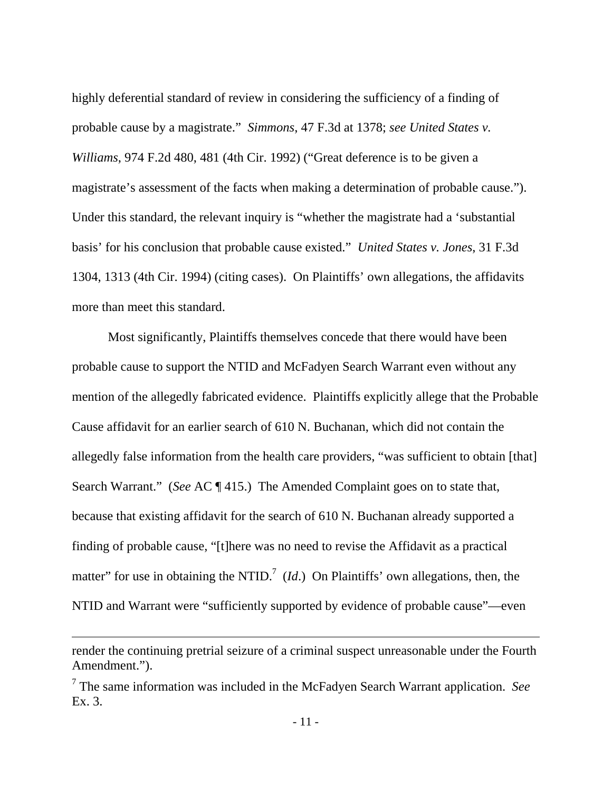highly deferential standard of review in considering the sufficiency of a finding of probable cause by a magistrate." *Simmons*, 47 F.3d at 1378; *see United States v. Williams*, 974 F.2d 480, 481 (4th Cir. 1992) ("Great deference is to be given a magistrate's assessment of the facts when making a determination of probable cause."). Under this standard, the relevant inquiry is "whether the magistrate had a 'substantial basis' for his conclusion that probable cause existed." *United States v. Jones*, 31 F.3d 1304, 1313 (4th Cir. 1994) (citing cases). On Plaintiffs' own allegations, the affidavits more than meet this standard.

 Most significantly, Plaintiffs themselves concede that there would have been probable cause to support the NTID and McFadyen Search Warrant even without any mention of the allegedly fabricated evidence. Plaintiffs explicitly allege that the Probable Cause affidavit for an earlier search of 610 N. Buchanan, which did not contain the allegedly false information from the health care providers, "was sufficient to obtain [that] Search Warrant." (*See* AC ¶ 415.) The Amended Complaint goes on to state that, because that existing affidavit for the search of 610 N. Buchanan already supported a finding of probable cause, "[t]here was no need to revise the Affidavit as a practical matter" for use in obtaining the NTID.<sup>7</sup> (*Id*.) On Plaintiffs' own allegations, then, the NTID and Warrant were "sufficiently supported by evidence of probable cause"—even

render the continuing pretrial seizure of a criminal suspect unreasonable under the Fourth Amendment.").

<sup>7</sup> The same information was included in the McFadyen Search Warrant application. *See* Ex. 3.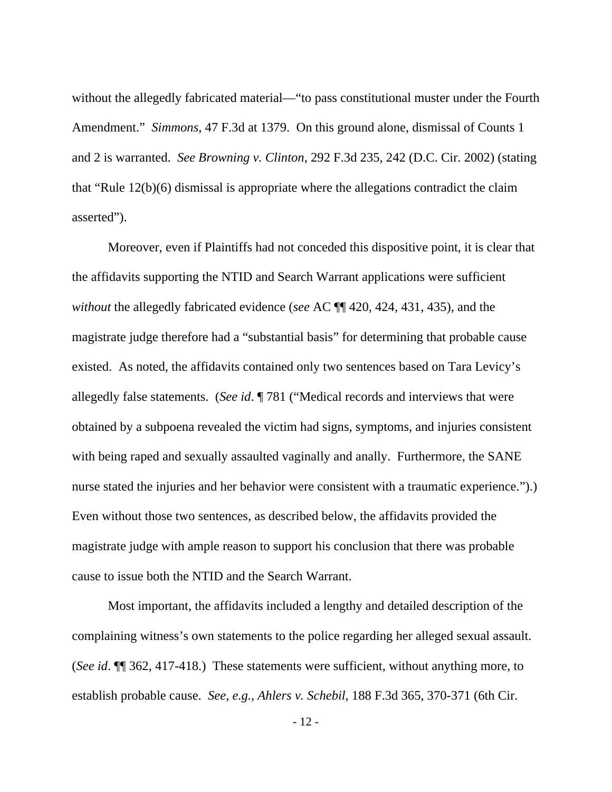without the allegedly fabricated material—"to pass constitutional muster under the Fourth Amendment." *Simmons*, 47 F.3d at 1379. On this ground alone, dismissal of Counts 1 and 2 is warranted. *See Browning v. Clinton*, 292 F.3d 235, 242 (D.C. Cir. 2002) (stating that "Rule 12(b)(6) dismissal is appropriate where the allegations contradict the claim asserted").

 Moreover, even if Plaintiffs had not conceded this dispositive point, it is clear that the affidavits supporting the NTID and Search Warrant applications were sufficient *without* the allegedly fabricated evidence (*see* AC ¶¶ 420, 424, 431, 435), and the magistrate judge therefore had a "substantial basis" for determining that probable cause existed. As noted, the affidavits contained only two sentences based on Tara Levicy's allegedly false statements. (*See id*. ¶ 781 ("Medical records and interviews that were obtained by a subpoena revealed the victim had signs, symptoms, and injuries consistent with being raped and sexually assaulted vaginally and anally. Furthermore, the SANE nurse stated the injuries and her behavior were consistent with a traumatic experience.").) Even without those two sentences, as described below, the affidavits provided the magistrate judge with ample reason to support his conclusion that there was probable cause to issue both the NTID and the Search Warrant.

 Most important, the affidavits included a lengthy and detailed description of the complaining witness's own statements to the police regarding her alleged sexual assault. (*See id*. ¶¶ 362, 417-418.) These statements were sufficient, without anything more, to establish probable cause. *See, e.g.*, *Ahlers v. Schebil*, 188 F.3d 365, 370-371 (6th Cir.

- 12 -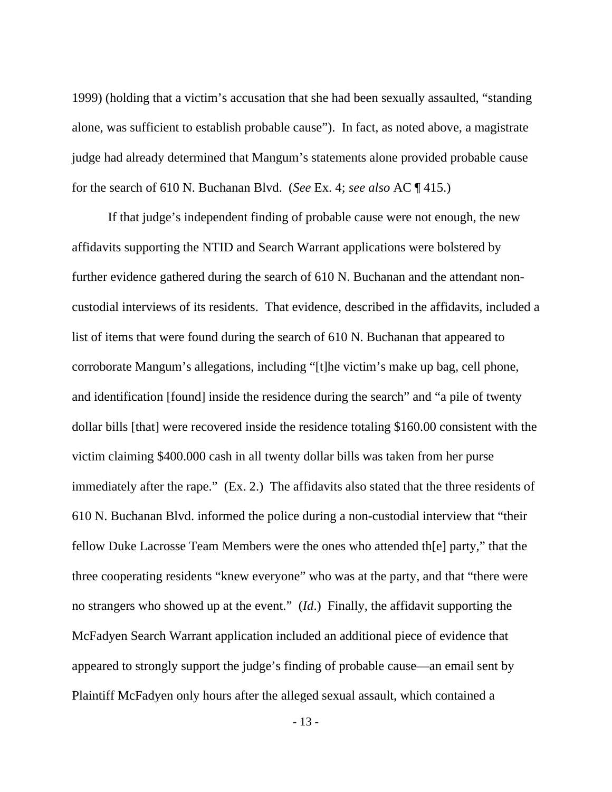1999) (holding that a victim's accusation that she had been sexually assaulted, "standing alone, was sufficient to establish probable cause"). In fact, as noted above, a magistrate judge had already determined that Mangum's statements alone provided probable cause for the search of 610 N. Buchanan Blvd. (*See* Ex. 4; *see also* AC ¶ 415.)

If that judge's independent finding of probable cause were not enough, the new affidavits supporting the NTID and Search Warrant applications were bolstered by further evidence gathered during the search of 610 N. Buchanan and the attendant noncustodial interviews of its residents. That evidence, described in the affidavits, included a list of items that were found during the search of 610 N. Buchanan that appeared to corroborate Mangum's allegations, including "[t]he victim's make up bag, cell phone, and identification [found] inside the residence during the search" and "a pile of twenty dollar bills [that] were recovered inside the residence totaling \$160.00 consistent with the victim claiming \$400.000 cash in all twenty dollar bills was taken from her purse immediately after the rape." (Ex. 2.) The affidavits also stated that the three residents of 610 N. Buchanan Blvd. informed the police during a non-custodial interview that "their fellow Duke Lacrosse Team Members were the ones who attended th[e] party," that the three cooperating residents "knew everyone" who was at the party, and that "there were no strangers who showed up at the event." (*Id*.) Finally, the affidavit supporting the McFadyen Search Warrant application included an additional piece of evidence that appeared to strongly support the judge's finding of probable cause—an email sent by Plaintiff McFadyen only hours after the alleged sexual assault, which contained a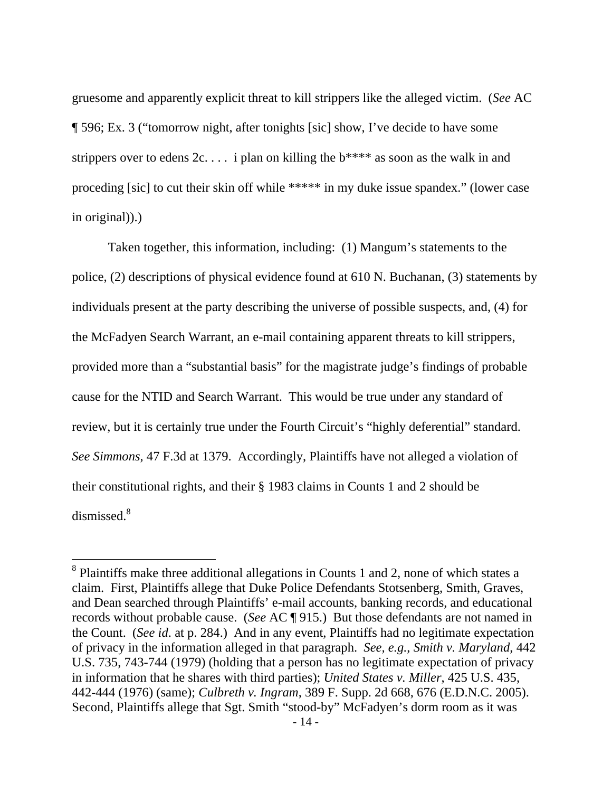gruesome and apparently explicit threat to kill strippers like the alleged victim. (*See* AC ¶ 596; Ex. 3 ("tomorrow night, after tonights [sic] show, I've decide to have some strippers over to edens  $2c \ldots$  i plan on killing the  $b****$  as soon as the walk in and proceding [sic] to cut their skin off while \*\*\*\*\* in my duke issue spandex." (lower case in original)).)

 Taken together, this information, including: (1) Mangum's statements to the police, (2) descriptions of physical evidence found at 610 N. Buchanan, (3) statements by individuals present at the party describing the universe of possible suspects, and, (4) for the McFadyen Search Warrant, an e-mail containing apparent threats to kill strippers, provided more than a "substantial basis" for the magistrate judge's findings of probable cause for the NTID and Search Warrant. This would be true under any standard of review, but it is certainly true under the Fourth Circuit's "highly deferential" standard. *See Simmons*, 47 F.3d at 1379. Accordingly, Plaintiffs have not alleged a violation of their constitutional rights, and their § 1983 claims in Counts 1 and 2 should be dismissed.<sup>8</sup>

 $8$  Plaintiffs make three additional allegations in Counts 1 and 2, none of which states a claim. First, Plaintiffs allege that Duke Police Defendants Stotsenberg, Smith, Graves, and Dean searched through Plaintiffs' e-mail accounts, banking records, and educational records without probable cause. (*See* AC ¶ 915.) But those defendants are not named in the Count. (*See id*. at p. 284.) And in any event, Plaintiffs had no legitimate expectation of privacy in the information alleged in that paragraph. *See, e.g.*, *Smith v. Maryland*, 442 U.S. 735, 743-744 (1979) (holding that a person has no legitimate expectation of privacy in information that he shares with third parties); *United States v. Miller*, 425 U.S. 435, 442-444 (1976) (same); *Culbreth v. Ingram*, 389 F. Supp. 2d 668, 676 (E.D.N.C. 2005). Second, Plaintiffs allege that Sgt. Smith "stood-by" McFadyen's dorm room as it was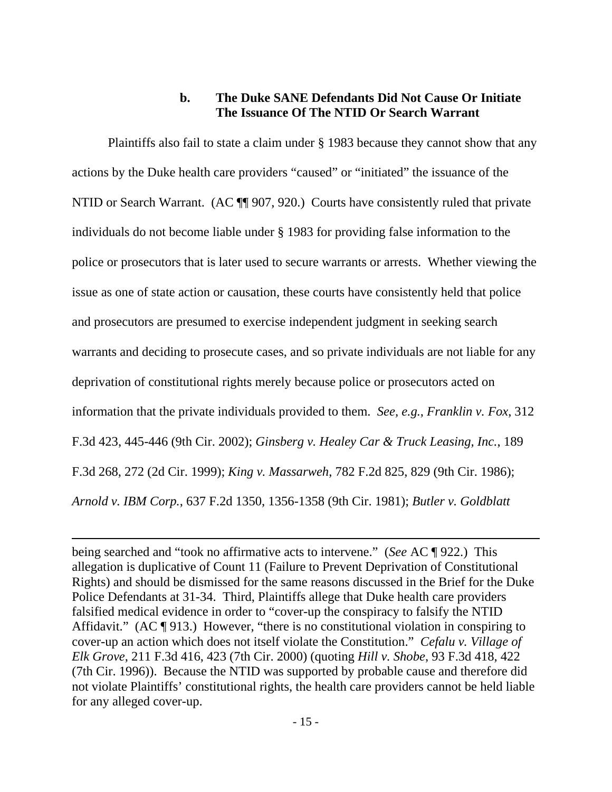## **b. The Duke SANE Defendants Did Not Cause Or Initiate The Issuance Of The NTID Or Search Warrant**

 Plaintiffs also fail to state a claim under § 1983 because they cannot show that any actions by the Duke health care providers "caused" or "initiated" the issuance of the NTID or Search Warrant. (AC  $\P$  907, 920.) Courts have consistently ruled that private individuals do not become liable under § 1983 for providing false information to the police or prosecutors that is later used to secure warrants or arrests. Whether viewing the issue as one of state action or causation, these courts have consistently held that police and prosecutors are presumed to exercise independent judgment in seeking search warrants and deciding to prosecute cases, and so private individuals are not liable for any deprivation of constitutional rights merely because police or prosecutors acted on information that the private individuals provided to them. *See, e.g.*, *Franklin v. Fox*, 312 F.3d 423, 445-446 (9th Cir. 2002); *Ginsberg v. Healey Car & Truck Leasing, Inc.*, 189 F.3d 268, 272 (2d Cir. 1999); *King v. Massarweh*, 782 F.2d 825, 829 (9th Cir. 1986); *Arnold v. IBM Corp.*, 637 F.2d 1350, 1356-1358 (9th Cir. 1981); *Butler v. Goldblatt* 

being searched and "took no affirmative acts to intervene." (*See* AC ¶ 922.) This allegation is duplicative of Count 11 (Failure to Prevent Deprivation of Constitutional Rights) and should be dismissed for the same reasons discussed in the Brief for the Duke Police Defendants at 31-34. Third, Plaintiffs allege that Duke health care providers falsified medical evidence in order to "cover-up the conspiracy to falsify the NTID Affidavit." (AC ¶ 913.) However, "there is no constitutional violation in conspiring to cover-up an action which does not itself violate the Constitution." *Cefalu v. Village of Elk Grove*, 211 F.3d 416, 423 (7th Cir. 2000) (quoting *Hill v. Shobe*, 93 F.3d 418, 422 (7th Cir. 1996)). Because the NTID was supported by probable cause and therefore did not violate Plaintiffs' constitutional rights, the health care providers cannot be held liable for any alleged cover-up.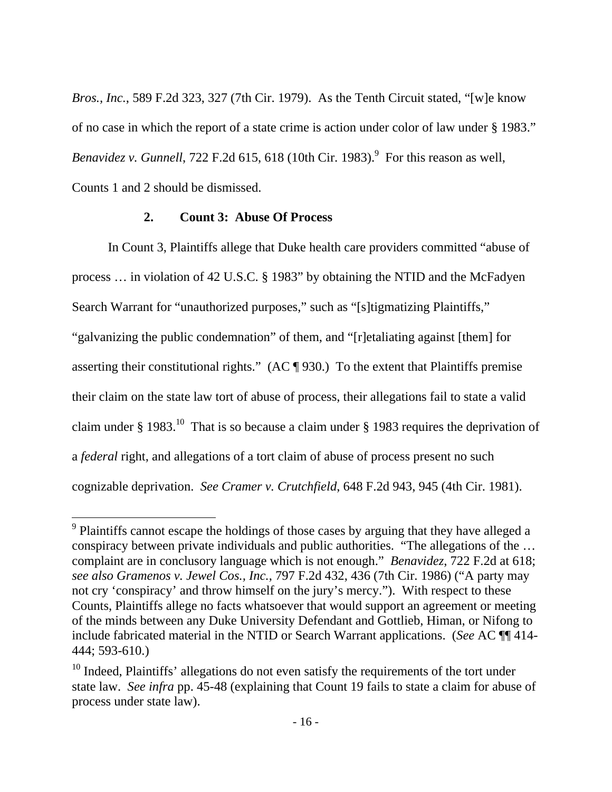*Bros., Inc.*, 589 F.2d 323, 327 (7th Cir. 1979). As the Tenth Circuit stated, "[w]e know of no case in which the report of a state crime is action under color of law under § 1983." *Benavidez v. Gunnell*,  $722$  F.2d  $615$ ,  $618$  (10th Cir. 1983).<sup>9</sup> For this reason as well, Counts 1 and 2 should be dismissed.

#### **2. Count 3: Abuse Of Process**

 $\overline{a}$ 

In Count 3, Plaintiffs allege that Duke health care providers committed "abuse of process … in violation of 42 U.S.C. § 1983" by obtaining the NTID and the McFadyen Search Warrant for "unauthorized purposes," such as "[s] tigmatizing Plaintiffs," "galvanizing the public condemnation" of them, and "[r]etaliating against [them] for asserting their constitutional rights." (AC ¶ 930.) To the extent that Plaintiffs premise their claim on the state law tort of abuse of process, their allegations fail to state a valid claim under § 1983.<sup>10</sup> That is so because a claim under § 1983 requires the deprivation of a *federal* right, and allegations of a tort claim of abuse of process present no such cognizable deprivation. *See Cramer v. Crutchfield*, 648 F.2d 943, 945 (4th Cir. 1981).

 $9$  Plaintiffs cannot escape the holdings of those cases by arguing that they have alleged a conspiracy between private individuals and public authorities. "The allegations of the … complaint are in conclusory language which is not enough." *Benavidez*, 722 F.2d at 618; *see also Gramenos v. Jewel Cos., Inc.*, 797 F.2d 432, 436 (7th Cir. 1986) ("A party may not cry 'conspiracy' and throw himself on the jury's mercy."). With respect to these Counts, Plaintiffs allege no facts whatsoever that would support an agreement or meeting of the minds between any Duke University Defendant and Gottlieb, Himan, or Nifong to include fabricated material in the NTID or Search Warrant applications. (*See* AC ¶¶ 414- 444; 593-610.)

 $10$  Indeed, Plaintiffs' allegations do not even satisfy the requirements of the tort under state law. *See infra* pp. 45-48 (explaining that Count 19 fails to state a claim for abuse of process under state law).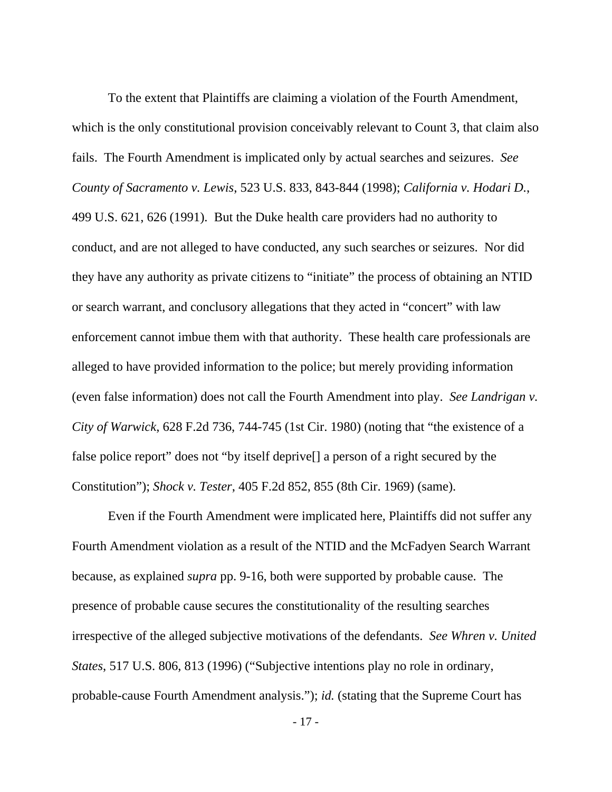To the extent that Plaintiffs are claiming a violation of the Fourth Amendment, which is the only constitutional provision conceivably relevant to Count 3, that claim also fails. The Fourth Amendment is implicated only by actual searches and seizures. *See County of Sacramento v. Lewis*, 523 U.S. 833, 843-844 (1998); *California v. Hodari D.*, 499 U.S. 621, 626 (1991). But the Duke health care providers had no authority to conduct, and are not alleged to have conducted, any such searches or seizures. Nor did they have any authority as private citizens to "initiate" the process of obtaining an NTID or search warrant, and conclusory allegations that they acted in "concert" with law enforcement cannot imbue them with that authority. These health care professionals are alleged to have provided information to the police; but merely providing information (even false information) does not call the Fourth Amendment into play. *See Landrigan v. City of Warwick*, 628 F.2d 736, 744-745 (1st Cir. 1980) (noting that "the existence of a false police report" does not "by itself deprive[] a person of a right secured by the Constitution"); *Shock v. Tester*, 405 F.2d 852, 855 (8th Cir. 1969) (same).

 Even if the Fourth Amendment were implicated here, Plaintiffs did not suffer any Fourth Amendment violation as a result of the NTID and the McFadyen Search Warrant because, as explained *supra* pp. 9-16, both were supported by probable cause. The presence of probable cause secures the constitutionality of the resulting searches irrespective of the alleged subjective motivations of the defendants. *See Whren v. United States*, 517 U.S. 806, 813 (1996) ("Subjective intentions play no role in ordinary, probable-cause Fourth Amendment analysis."); *id.* (stating that the Supreme Court has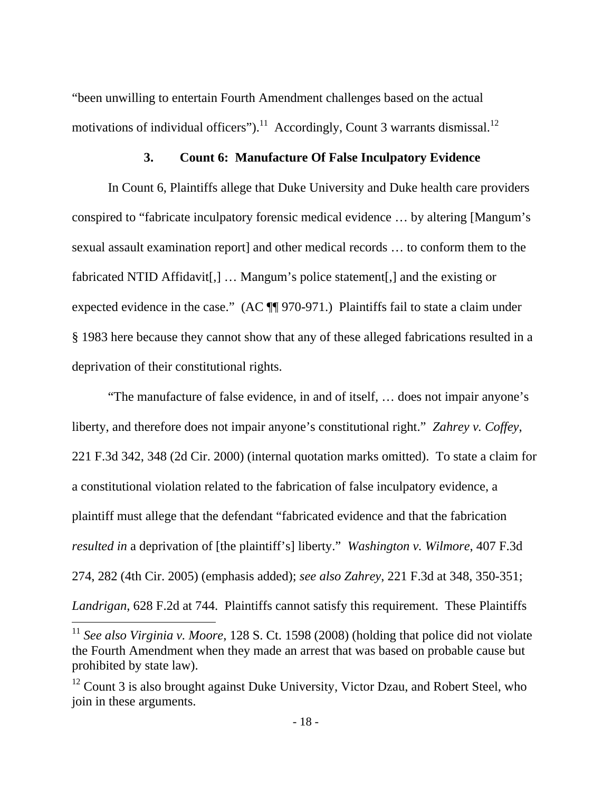"been unwilling to entertain Fourth Amendment challenges based on the actual motivations of individual officers").<sup>11</sup> Accordingly, Count 3 warrants dismissal.<sup>12</sup>

### **3. Count 6: Manufacture Of False Inculpatory Evidence**

In Count 6, Plaintiffs allege that Duke University and Duke health care providers conspired to "fabricate inculpatory forensic medical evidence … by altering [Mangum's sexual assault examination report] and other medical records … to conform them to the fabricated NTID Affidavit[,] … Mangum's police statement[,] and the existing or expected evidence in the case." (AC  $\P$  970-971.) Plaintiffs fail to state a claim under § 1983 here because they cannot show that any of these alleged fabrications resulted in a deprivation of their constitutional rights.

 "The manufacture of false evidence, in and of itself, … does not impair anyone's liberty, and therefore does not impair anyone's constitutional right." *Zahrey v. Coffey*, 221 F.3d 342, 348 (2d Cir. 2000) (internal quotation marks omitted). To state a claim for a constitutional violation related to the fabrication of false inculpatory evidence, a plaintiff must allege that the defendant "fabricated evidence and that the fabrication *resulted in* a deprivation of [the plaintiff's] liberty." *Washington v. Wilmore*, 407 F.3d 274, 282 (4th Cir. 2005) (emphasis added); *see also Zahrey*, 221 F.3d at 348, 350-351; *Landrigan*, 628 F.2d at 744. Plaintiffs cannot satisfy this requirement. These Plaintiffs

<sup>11</sup> *See also Virginia v. Moore*, 128 S. Ct. 1598 (2008) (holding that police did not violate the Fourth Amendment when they made an arrest that was based on probable cause but prohibited by state law).

<sup>&</sup>lt;sup>12</sup> Count 3 is also brought against Duke University, Victor Dzau, and Robert Steel, who join in these arguments.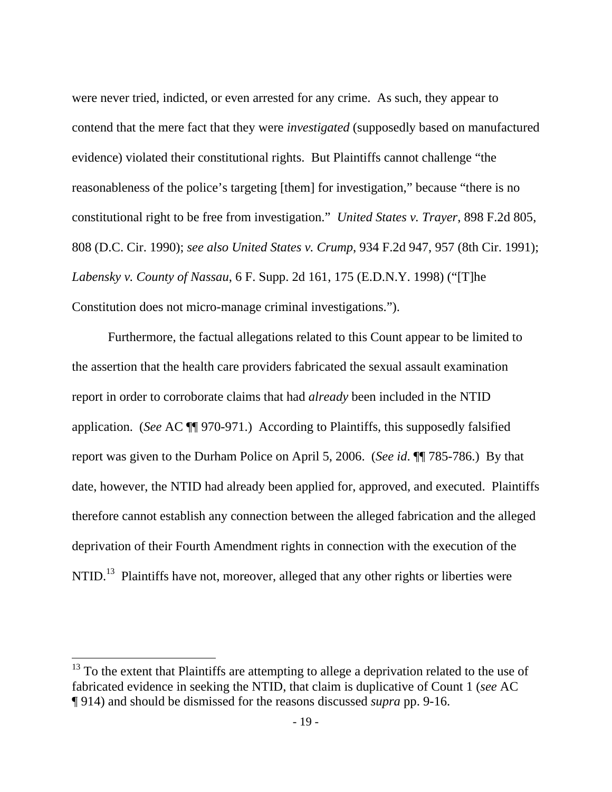were never tried, indicted, or even arrested for any crime. As such, they appear to contend that the mere fact that they were *investigated* (supposedly based on manufactured evidence) violated their constitutional rights. But Plaintiffs cannot challenge "the reasonableness of the police's targeting [them] for investigation," because "there is no constitutional right to be free from investigation." *United States v. Trayer*, 898 F.2d 805, 808 (D.C. Cir. 1990); *see also United States v. Crump*, 934 F.2d 947, 957 (8th Cir. 1991); *Labensky v. County of Nassau*, 6 F. Supp. 2d 161, 175 (E.D.N.Y. 1998) ("[T]he Constitution does not micro-manage criminal investigations.").

Furthermore, the factual allegations related to this Count appear to be limited to the assertion that the health care providers fabricated the sexual assault examination report in order to corroborate claims that had *already* been included in the NTID application. (*See* AC ¶¶ 970-971.) According to Plaintiffs, this supposedly falsified report was given to the Durham Police on April 5, 2006. (*See id*. ¶¶ 785-786.) By that date, however, the NTID had already been applied for, approved, and executed. Plaintiffs therefore cannot establish any connection between the alleged fabrication and the alleged deprivation of their Fourth Amendment rights in connection with the execution of the NTID.<sup>13</sup> Plaintiffs have not, moreover, alleged that any other rights or liberties were

 $13$  To the extent that Plaintiffs are attempting to allege a deprivation related to the use of fabricated evidence in seeking the NTID, that claim is duplicative of Count 1 (*see* AC ¶ 914) and should be dismissed for the reasons discussed *supra* pp. 9-16.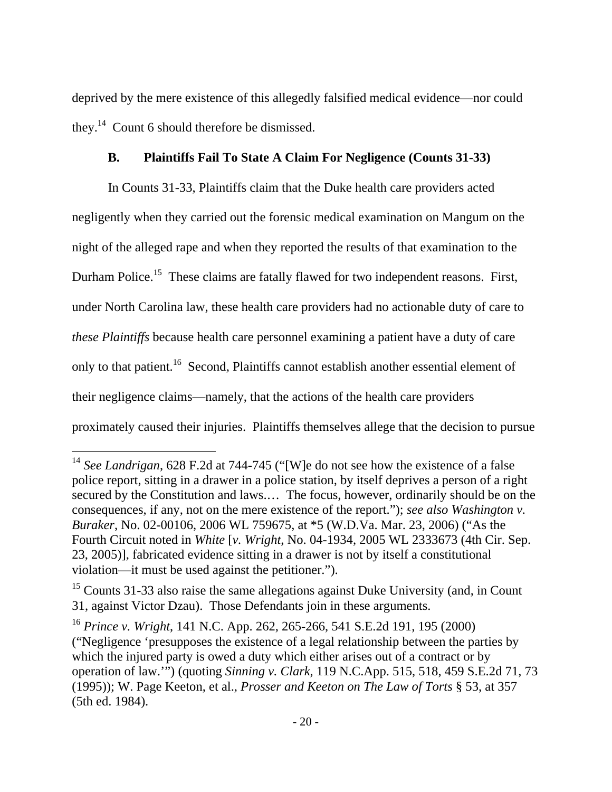deprived by the mere existence of this allegedly falsified medical evidence—nor could they.14 Count 6 should therefore be dismissed.

# **B. Plaintiffs Fail To State A Claim For Negligence (Counts 31-33)**

 In Counts 31-33, Plaintiffs claim that the Duke health care providers acted negligently when they carried out the forensic medical examination on Mangum on the night of the alleged rape and when they reported the results of that examination to the Durham Police.<sup>15</sup> These claims are fatally flawed for two independent reasons. First, under North Carolina law, these health care providers had no actionable duty of care to *these Plaintiffs* because health care personnel examining a patient have a duty of care only to that patient.16 Second, Plaintiffs cannot establish another essential element of their negligence claims—namely, that the actions of the health care providers proximately caused their injuries. Plaintiffs themselves allege that the decision to pursue

<sup>&</sup>lt;sup>14</sup> See Landrigan, 628 F.2d at 744-745 ("[W]e do not see how the existence of a false police report, sitting in a drawer in a police station, by itself deprives a person of a right secured by the Constitution and laws.… The focus, however, ordinarily should be on the consequences, if any, not on the mere existence of the report."); *see also Washington v. Buraker*, No. 02-00106, 2006 WL 759675, at \*5 (W.D.Va. Mar. 23, 2006) ("As the Fourth Circuit noted in *White* [*v. Wright*, No. 04-1934, 2005 WL 2333673 (4th Cir. Sep. 23, 2005)], fabricated evidence sitting in a drawer is not by itself a constitutional violation—it must be used against the petitioner.").

 $15$  Counts 31-33 also raise the same allegations against Duke University (and, in Count 31, against Victor Dzau). Those Defendants join in these arguments.

<sup>16</sup> *Prince v. Wright*, 141 N.C. App. 262, 265-266, 541 S.E.2d 191, 195 (2000) ("Negligence 'presupposes the existence of a legal relationship between the parties by which the injured party is owed a duty which either arises out of a contract or by operation of law.'") (quoting *Sinning v. Clark*, 119 N.C.App. 515, 518, 459 S.E.2d 71, 73 (1995)); W. Page Keeton, et al., *Prosser and Keeton on The Law of Torts* § 53, at 357 (5th ed. 1984).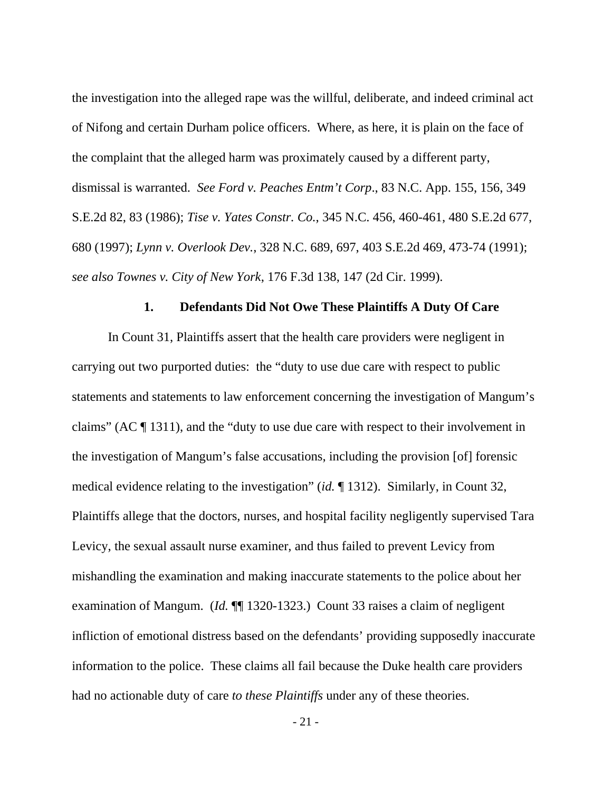the investigation into the alleged rape was the willful, deliberate, and indeed criminal act of Nifong and certain Durham police officers. Where, as here, it is plain on the face of the complaint that the alleged harm was proximately caused by a different party, dismissal is warranted. *See Ford v. Peaches Entm't Corp*., 83 N.C. App. 155, 156, 349 S.E.2d 82, 83 (1986); *Tise v. Yates Constr. Co.*, 345 N.C. 456, 460-461, 480 S.E.2d 677, 680 (1997); *Lynn v. Overlook Dev.*, 328 N.C. 689, 697, 403 S.E.2d 469, 473-74 (1991); *see also Townes v. City of New York*, 176 F.3d 138, 147 (2d Cir. 1999).

### **1. Defendants Did Not Owe These Plaintiffs A Duty Of Care**

 In Count 31, Plaintiffs assert that the health care providers were negligent in carrying out two purported duties: the "duty to use due care with respect to public statements and statements to law enforcement concerning the investigation of Mangum's claims" (AC ¶ 1311), and the "duty to use due care with respect to their involvement in the investigation of Mangum's false accusations, including the provision [of] forensic medical evidence relating to the investigation" (*id.* ¶ 1312). Similarly, in Count 32, Plaintiffs allege that the doctors, nurses, and hospital facility negligently supervised Tara Levicy, the sexual assault nurse examiner, and thus failed to prevent Levicy from mishandling the examination and making inaccurate statements to the police about her examination of Mangum. (*Id.* ¶¶ 1320-1323.) Count 33 raises a claim of negligent infliction of emotional distress based on the defendants' providing supposedly inaccurate information to the police. These claims all fail because the Duke health care providers had no actionable duty of care *to these Plaintiffs* under any of these theories.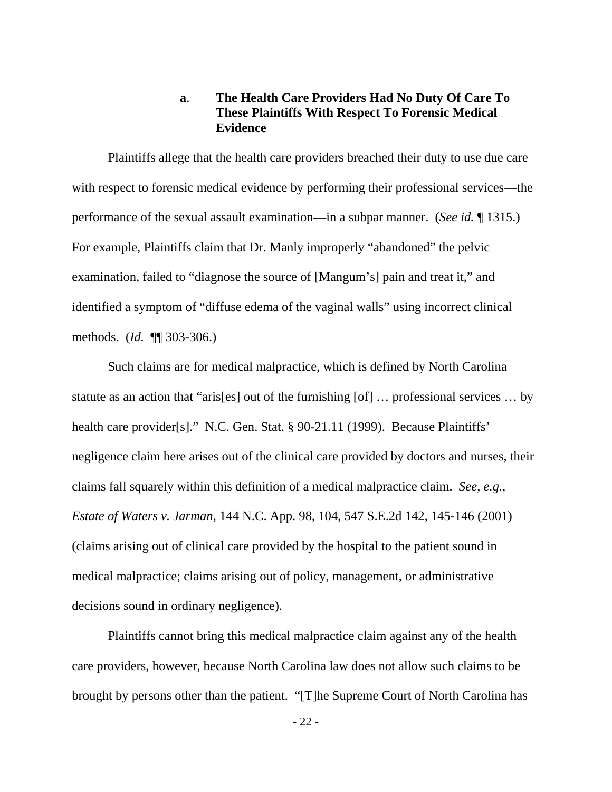### **a**. **The Health Care Providers Had No Duty Of Care To These Plaintiffs With Respect To Forensic Medical Evidence**

Plaintiffs allege that the health care providers breached their duty to use due care with respect to forensic medical evidence by performing their professional services—the performance of the sexual assault examination—in a subpar manner. (*See id.* ¶ 1315.) For example, Plaintiffs claim that Dr. Manly improperly "abandoned" the pelvic examination, failed to "diagnose the source of [Mangum's] pain and treat it," and identified a symptom of "diffuse edema of the vaginal walls" using incorrect clinical methods. (*Id.* ¶¶ 303-306.)

 Such claims are for medical malpractice, which is defined by North Carolina statute as an action that "aris[es] out of the furnishing [of] … professional services … by health care provider[s]." N.C. Gen. Stat. § 90-21.11 (1999). Because Plaintiffs' negligence claim here arises out of the clinical care provided by doctors and nurses, their claims fall squarely within this definition of a medical malpractice claim. *See, e.g.*, *Estate of Waters v. Jarman*, 144 N.C. App. 98, 104, 547 S.E.2d 142, 145-146 (2001) (claims arising out of clinical care provided by the hospital to the patient sound in medical malpractice; claims arising out of policy, management, or administrative decisions sound in ordinary negligence).

 Plaintiffs cannot bring this medical malpractice claim against any of the health care providers, however, because North Carolina law does not allow such claims to be brought by persons other than the patient. "[T]he Supreme Court of North Carolina has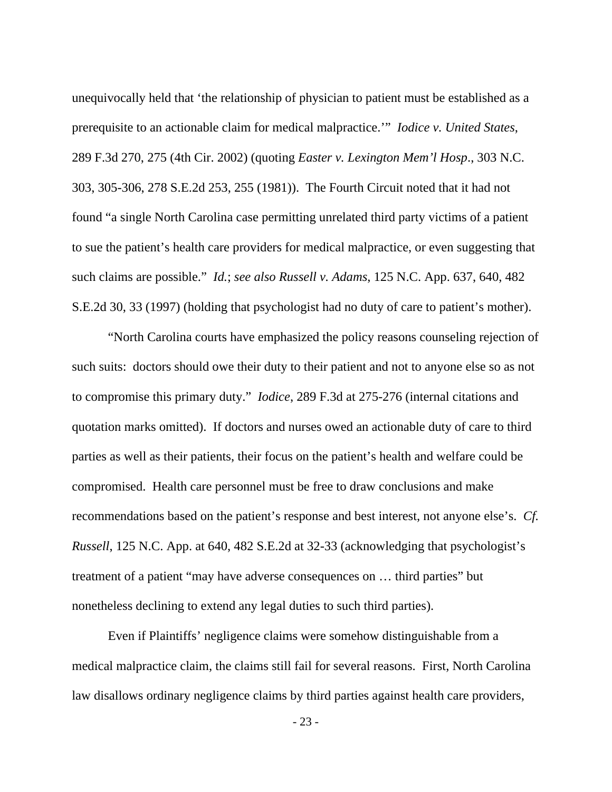unequivocally held that 'the relationship of physician to patient must be established as a prerequisite to an actionable claim for medical malpractice.'" *Iodice v. United States*, 289 F.3d 270, 275 (4th Cir. 2002) (quoting *Easter v. Lexington Mem'l Hosp*., 303 N.C. 303, 305-306, 278 S.E.2d 253, 255 (1981)). The Fourth Circuit noted that it had not found "a single North Carolina case permitting unrelated third party victims of a patient to sue the patient's health care providers for medical malpractice, or even suggesting that such claims are possible." *Id.*; *see also Russell v. Adams*, 125 N.C. App. 637, 640, 482 S.E.2d 30, 33 (1997) (holding that psychologist had no duty of care to patient's mother).

 "North Carolina courts have emphasized the policy reasons counseling rejection of such suits: doctors should owe their duty to their patient and not to anyone else so as not to compromise this primary duty." *Iodice*, 289 F.3d at 275-276 (internal citations and quotation marks omitted). If doctors and nurses owed an actionable duty of care to third parties as well as their patients, their focus on the patient's health and welfare could be compromised. Health care personnel must be free to draw conclusions and make recommendations based on the patient's response and best interest, not anyone else's. *Cf. Russell*, 125 N.C. App. at 640, 482 S.E.2d at 32-33 (acknowledging that psychologist's treatment of a patient "may have adverse consequences on … third parties" but nonetheless declining to extend any legal duties to such third parties).

 Even if Plaintiffs' negligence claims were somehow distinguishable from a medical malpractice claim, the claims still fail for several reasons. First, North Carolina law disallows ordinary negligence claims by third parties against health care providers,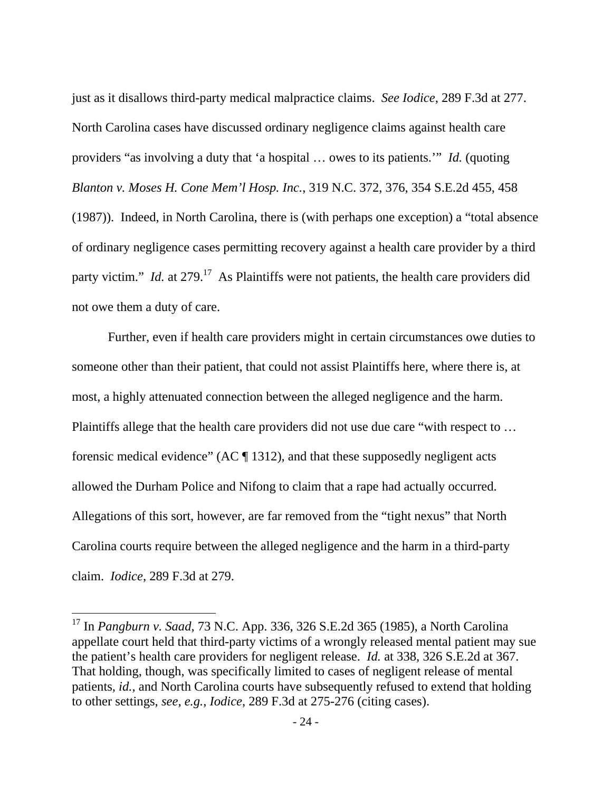just as it disallows third-party medical malpractice claims. *See Iodice*, 289 F.3d at 277. North Carolina cases have discussed ordinary negligence claims against health care providers "as involving a duty that 'a hospital … owes to its patients.'" *Id.* (quoting *Blanton v. Moses H. Cone Mem'l Hosp. Inc.*, 319 N.C. 372, 376, 354 S.E.2d 455, 458 (1987)). Indeed, in North Carolina, there is (with perhaps one exception) a "total absence of ordinary negligence cases permitting recovery against a health care provider by a third party victim." *Id.* at 279.<sup>17</sup> As Plaintiffs were not patients, the health care providers did not owe them a duty of care.

Further, even if health care providers might in certain circumstances owe duties to someone other than their patient, that could not assist Plaintiffs here, where there is, at most, a highly attenuated connection between the alleged negligence and the harm. Plaintiffs allege that the health care providers did not use due care "with respect to … forensic medical evidence" (AC  $\P$  1312), and that these supposedly negligent acts allowed the Durham Police and Nifong to claim that a rape had actually occurred. Allegations of this sort, however, are far removed from the "tight nexus" that North Carolina courts require between the alleged negligence and the harm in a third-party claim. *Iodice*, 289 F.3d at 279.

<sup>17</sup> In *Pangburn v. Saad*, 73 N.C. App. 336, 326 S.E.2d 365 (1985), a North Carolina appellate court held that third-party victims of a wrongly released mental patient may sue the patient's health care providers for negligent release. *Id.* at 338, 326 S.E.2d at 367. That holding, though, was specifically limited to cases of negligent release of mental patients, *id.*, and North Carolina courts have subsequently refused to extend that holding to other settings, *see, e.g.*, *Iodice*, 289 F.3d at 275-276 (citing cases).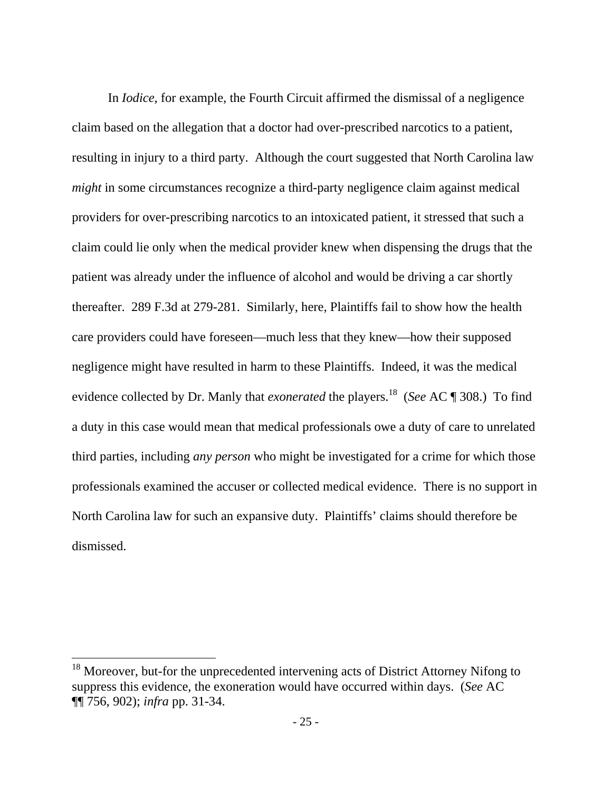In *Iodice*, for example, the Fourth Circuit affirmed the dismissal of a negligence claim based on the allegation that a doctor had over-prescribed narcotics to a patient, resulting in injury to a third party. Although the court suggested that North Carolina law *might* in some circumstances recognize a third-party negligence claim against medical providers for over-prescribing narcotics to an intoxicated patient, it stressed that such a claim could lie only when the medical provider knew when dispensing the drugs that the patient was already under the influence of alcohol and would be driving a car shortly thereafter. 289 F.3d at 279-281. Similarly, here, Plaintiffs fail to show how the health care providers could have foreseen—much less that they knew—how their supposed negligence might have resulted in harm to these Plaintiffs. Indeed, it was the medical evidence collected by Dr. Manly that *exonerated* the players.18 (*See* AC ¶ 308.) To find a duty in this case would mean that medical professionals owe a duty of care to unrelated third parties, including *any person* who might be investigated for a crime for which those professionals examined the accuser or collected medical evidence. There is no support in North Carolina law for such an expansive duty. Plaintiffs' claims should therefore be dismissed.

<sup>&</sup>lt;sup>18</sup> Moreover, but-for the unprecedented intervening acts of District Attorney Nifong to suppress this evidence, the exoneration would have occurred within days. (*See* AC ¶¶ 756, 902); *infra* pp. 31-34.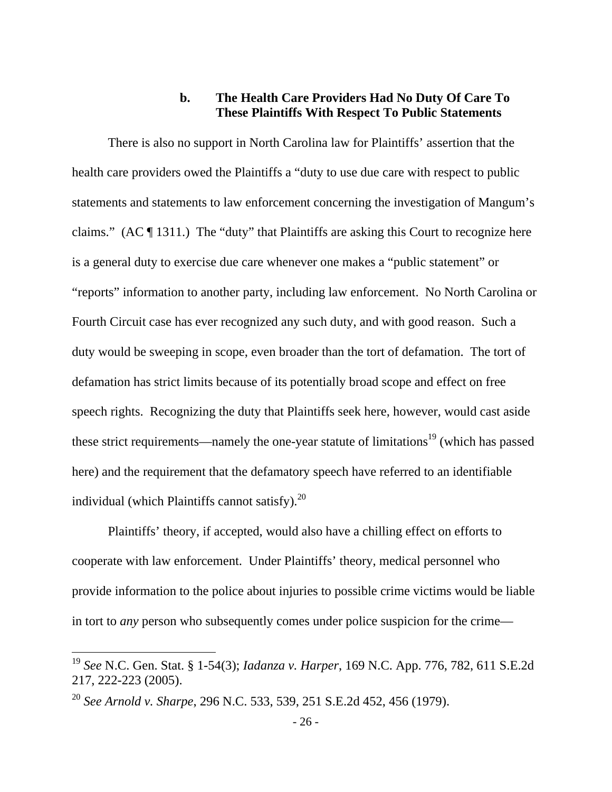## **b. The Health Care Providers Had No Duty Of Care To These Plaintiffs With Respect To Public Statements**

There is also no support in North Carolina law for Plaintiffs' assertion that the health care providers owed the Plaintiffs a "duty to use due care with respect to public statements and statements to law enforcement concerning the investigation of Mangum's claims." (AC ¶ 1311.) The "duty" that Plaintiffs are asking this Court to recognize here is a general duty to exercise due care whenever one makes a "public statement" or "reports" information to another party, including law enforcement. No North Carolina or Fourth Circuit case has ever recognized any such duty, and with good reason. Such a duty would be sweeping in scope, even broader than the tort of defamation. The tort of defamation has strict limits because of its potentially broad scope and effect on free speech rights. Recognizing the duty that Plaintiffs seek here, however, would cast aside these strict requirements—namely the one-year statute of limitations<sup>19</sup> (which has passed here) and the requirement that the defamatory speech have referred to an identifiable individual (which Plaintiffs cannot satisfy). $^{20}$ 

 Plaintiffs' theory, if accepted, would also have a chilling effect on efforts to cooperate with law enforcement. Under Plaintiffs' theory, medical personnel who provide information to the police about injuries to possible crime victims would be liable in tort to *any* person who subsequently comes under police suspicion for the crime—

<sup>19</sup> *See* N.C. Gen. Stat. § 1-54(3); *Iadanza v. Harper*, 169 N.C. App. 776, 782, 611 S.E.2d 217, 222-223 (2005).

<sup>20</sup> *See Arnold v. Sharpe*, 296 N.C. 533, 539, 251 S.E.2d 452, 456 (1979).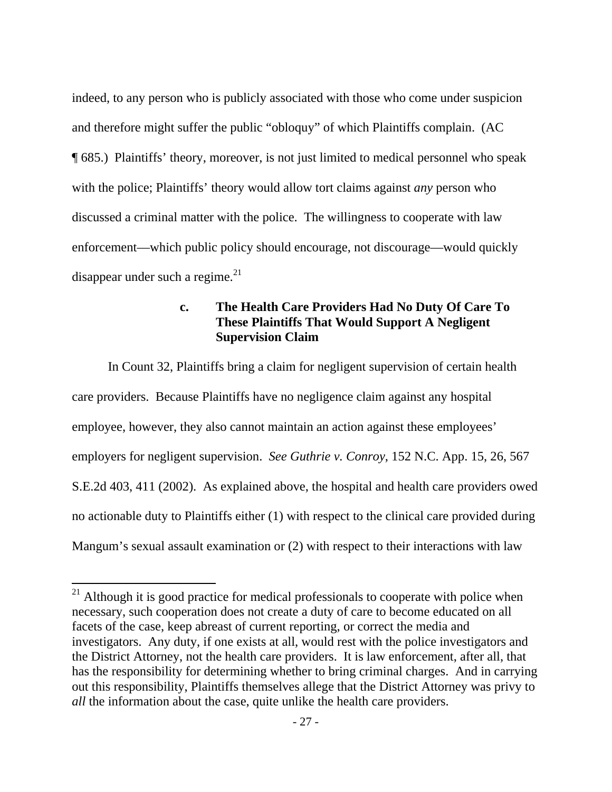indeed, to any person who is publicly associated with those who come under suspicion and therefore might suffer the public "obloquy" of which Plaintiffs complain. (AC ¶ 685.) Plaintiffs' theory, moreover, is not just limited to medical personnel who speak with the police; Plaintiffs' theory would allow tort claims against *any* person who discussed a criminal matter with the police. The willingness to cooperate with law enforcement—which public policy should encourage, not discourage—would quickly disappear under such a regime. $^{21}$ 

# **c. The Health Care Providers Had No Duty Of Care To These Plaintiffs That Would Support A Negligent Supervision Claim**

 In Count 32, Plaintiffs bring a claim for negligent supervision of certain health care providers. Because Plaintiffs have no negligence claim against any hospital employee, however, they also cannot maintain an action against these employees' employers for negligent supervision. *See Guthrie v. Conroy*, 152 N.C. App. 15, 26, 567 S.E.2d 403, 411 (2002). As explained above, the hospital and health care providers owed no actionable duty to Plaintiffs either (1) with respect to the clinical care provided during Mangum's sexual assault examination or (2) with respect to their interactions with law

 $21$  Although it is good practice for medical professionals to cooperate with police when necessary, such cooperation does not create a duty of care to become educated on all facets of the case, keep abreast of current reporting, or correct the media and investigators. Any duty, if one exists at all, would rest with the police investigators and the District Attorney, not the health care providers. It is law enforcement, after all, that has the responsibility for determining whether to bring criminal charges. And in carrying out this responsibility, Plaintiffs themselves allege that the District Attorney was privy to *all* the information about the case, quite unlike the health care providers.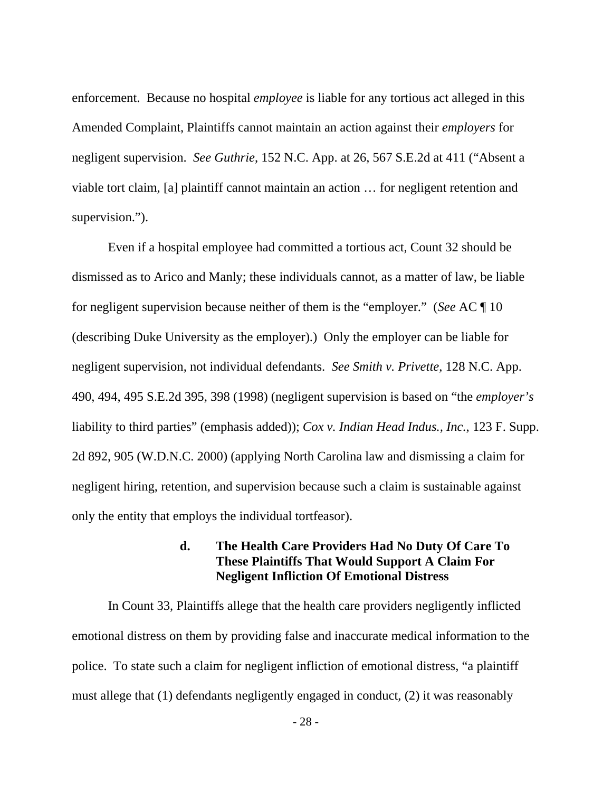enforcement. Because no hospital *employee* is liable for any tortious act alleged in this Amended Complaint, Plaintiffs cannot maintain an action against their *employers* for negligent supervision. *See Guthrie*, 152 N.C. App. at 26, 567 S.E.2d at 411 ("Absent a viable tort claim, [a] plaintiff cannot maintain an action … for negligent retention and supervision.").

 Even if a hospital employee had committed a tortious act, Count 32 should be dismissed as to Arico and Manly; these individuals cannot, as a matter of law, be liable for negligent supervision because neither of them is the "employer." (*See* AC ¶ 10 (describing Duke University as the employer).) Only the employer can be liable for negligent supervision, not individual defendants. *See Smith v. Privette*, 128 N.C. App. 490, 494, 495 S.E.2d 395, 398 (1998) (negligent supervision is based on "the *employer's* liability to third parties" (emphasis added)); *Cox v. Indian Head Indus., Inc.*, 123 F. Supp. 2d 892, 905 (W.D.N.C. 2000) (applying North Carolina law and dismissing a claim for negligent hiring, retention, and supervision because such a claim is sustainable against only the entity that employs the individual tortfeasor).

### **d. The Health Care Providers Had No Duty Of Care To These Plaintiffs That Would Support A Claim For Negligent Infliction Of Emotional Distress**

 In Count 33, Plaintiffs allege that the health care providers negligently inflicted emotional distress on them by providing false and inaccurate medical information to the police. To state such a claim for negligent infliction of emotional distress, "a plaintiff must allege that (1) defendants negligently engaged in conduct, (2) it was reasonably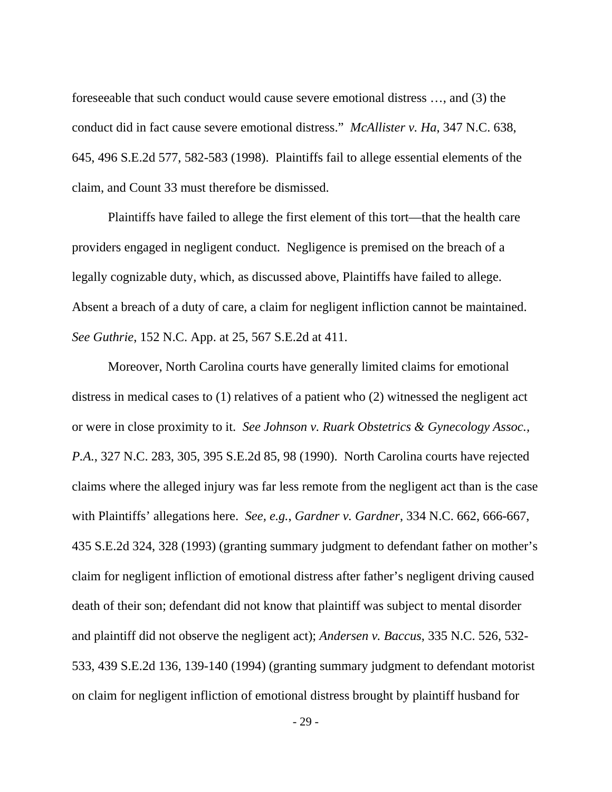foreseeable that such conduct would cause severe emotional distress …, and (3) the conduct did in fact cause severe emotional distress." *McAllister v. Ha*, 347 N.C. 638, 645, 496 S.E.2d 577, 582-583 (1998). Plaintiffs fail to allege essential elements of the claim, and Count 33 must therefore be dismissed.

 Plaintiffs have failed to allege the first element of this tort—that the health care providers engaged in negligent conduct. Negligence is premised on the breach of a legally cognizable duty, which, as discussed above, Plaintiffs have failed to allege. Absent a breach of a duty of care, a claim for negligent infliction cannot be maintained. *See Guthrie*, 152 N.C. App. at 25, 567 S.E.2d at 411.

 Moreover, North Carolina courts have generally limited claims for emotional distress in medical cases to (1) relatives of a patient who (2) witnessed the negligent act or were in close proximity to it. *See Johnson v. Ruark Obstetrics & Gynecology Assoc., P.A.*, 327 N.C. 283, 305, 395 S.E.2d 85, 98 (1990). North Carolina courts have rejected claims where the alleged injury was far less remote from the negligent act than is the case with Plaintiffs' allegations here. *See, e.g.*, *Gardner v. Gardner*, 334 N.C. 662, 666-667, 435 S.E.2d 324, 328 (1993) (granting summary judgment to defendant father on mother's claim for negligent infliction of emotional distress after father's negligent driving caused death of their son; defendant did not know that plaintiff was subject to mental disorder and plaintiff did not observe the negligent act); *Andersen v. Baccus*, 335 N.C. 526, 532- 533, 439 S.E.2d 136, 139-140 (1994) (granting summary judgment to defendant motorist on claim for negligent infliction of emotional distress brought by plaintiff husband for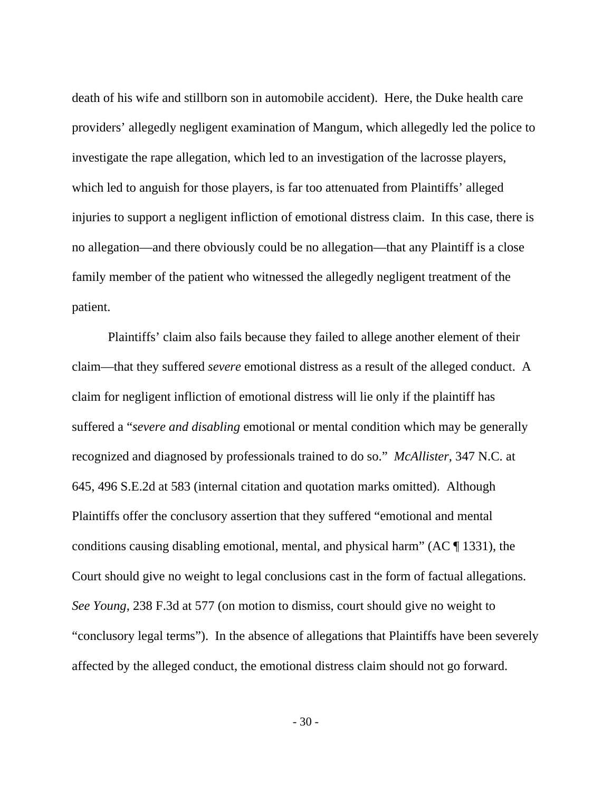death of his wife and stillborn son in automobile accident). Here, the Duke health care providers' allegedly negligent examination of Mangum, which allegedly led the police to investigate the rape allegation, which led to an investigation of the lacrosse players, which led to anguish for those players, is far too attenuated from Plaintiffs' alleged injuries to support a negligent infliction of emotional distress claim. In this case, there is no allegation—and there obviously could be no allegation—that any Plaintiff is a close family member of the patient who witnessed the allegedly negligent treatment of the patient.

 Plaintiffs' claim also fails because they failed to allege another element of their claim—that they suffered *severe* emotional distress as a result of the alleged conduct. A claim for negligent infliction of emotional distress will lie only if the plaintiff has suffered a "*severe and disabling* emotional or mental condition which may be generally recognized and diagnosed by professionals trained to do so." *McAllister*, 347 N.C. at 645, 496 S.E.2d at 583 (internal citation and quotation marks omitted). Although Plaintiffs offer the conclusory assertion that they suffered "emotional and mental conditions causing disabling emotional, mental, and physical harm" (AC ¶ 1331), the Court should give no weight to legal conclusions cast in the form of factual allegations. *See Young*, 238 F.3d at 577 (on motion to dismiss, court should give no weight to "conclusory legal terms"). In the absence of allegations that Plaintiffs have been severely affected by the alleged conduct, the emotional distress claim should not go forward.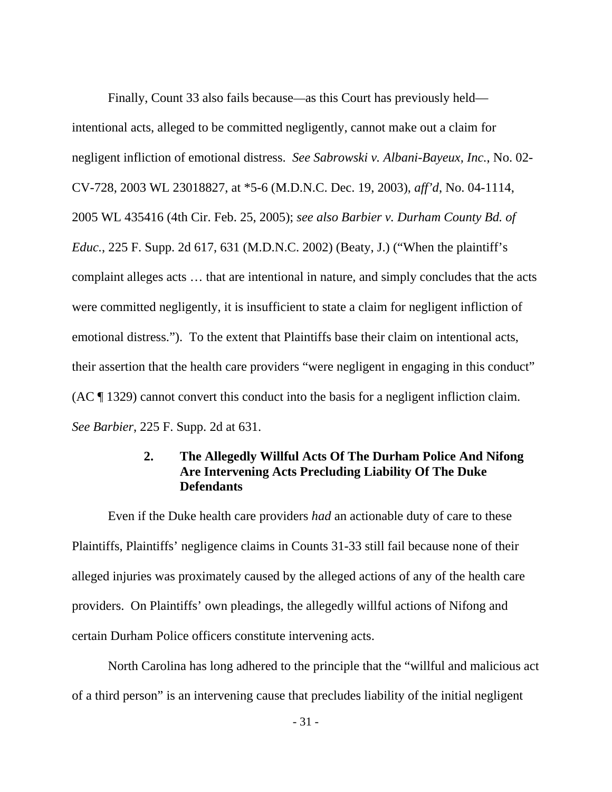Finally, Count 33 also fails because—as this Court has previously held intentional acts, alleged to be committed negligently, cannot make out a claim for negligent infliction of emotional distress. *See Sabrowski v. Albani-Bayeux, Inc.*, No. 02- CV-728, 2003 WL 23018827, at \*5-6 (M.D.N.C. Dec. 19, 2003), *aff'd*, No. 04-1114, 2005 WL 435416 (4th Cir. Feb. 25, 2005); *see also Barbier v. Durham County Bd. of Educ.*, 225 F. Supp. 2d 617, 631 (M.D.N.C. 2002) (Beaty, J.) ("When the plaintiff's complaint alleges acts … that are intentional in nature, and simply concludes that the acts were committed negligently, it is insufficient to state a claim for negligent infliction of emotional distress."). To the extent that Plaintiffs base their claim on intentional acts, their assertion that the health care providers "were negligent in engaging in this conduct" (AC ¶ 1329) cannot convert this conduct into the basis for a negligent infliction claim. *See Barbier*, 225 F. Supp. 2d at 631.

# **2. The Allegedly Willful Acts Of The Durham Police And Nifong Are Intervening Acts Precluding Liability Of The Duke Defendants**

Even if the Duke health care providers *had* an actionable duty of care to these Plaintiffs, Plaintiffs' negligence claims in Counts 31-33 still fail because none of their alleged injuries was proximately caused by the alleged actions of any of the health care providers. On Plaintiffs' own pleadings, the allegedly willful actions of Nifong and certain Durham Police officers constitute intervening acts.

 North Carolina has long adhered to the principle that the "willful and malicious act of a third person" is an intervening cause that precludes liability of the initial negligent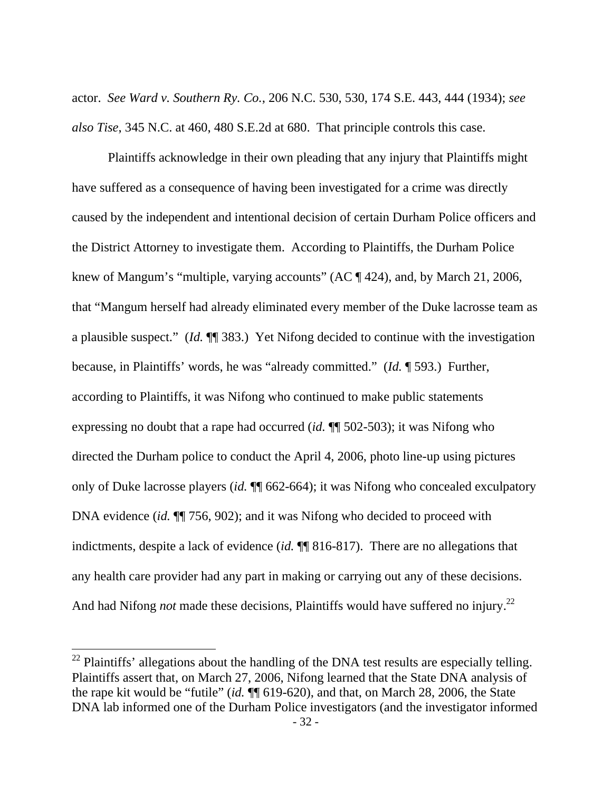actor. *See Ward v. Southern Ry. Co.*, 206 N.C. 530, 530, 174 S.E. 443, 444 (1934); *see also Tise*, 345 N.C. at 460, 480 S.E.2d at 680. That principle controls this case.

 Plaintiffs acknowledge in their own pleading that any injury that Plaintiffs might have suffered as a consequence of having been investigated for a crime was directly caused by the independent and intentional decision of certain Durham Police officers and the District Attorney to investigate them. According to Plaintiffs, the Durham Police knew of Mangum's "multiple, varying accounts" (AC ¶ 424), and, by March 21, 2006, that "Mangum herself had already eliminated every member of the Duke lacrosse team as a plausible suspect." (*Id.* ¶¶ 383.) Yet Nifong decided to continue with the investigation because, in Plaintiffs' words, he was "already committed." (*Id.* ¶ 593.) Further, according to Plaintiffs, it was Nifong who continued to make public statements expressing no doubt that a rape had occurred (*id.* ¶¶ 502-503); it was Nifong who directed the Durham police to conduct the April 4, 2006, photo line-up using pictures only of Duke lacrosse players (*id.* ¶¶ 662-664); it was Nifong who concealed exculpatory DNA evidence *(id.*  $\P$  756, 902); and it was Nifong who decided to proceed with indictments, despite a lack of evidence (*id.* ¶¶ 816-817). There are no allegations that any health care provider had any part in making or carrying out any of these decisions. And had Nifong *not* made these decisions, Plaintiffs would have suffered no injury.<sup>22</sup>

 $22$  Plaintiffs' allegations about the handling of the DNA test results are especially telling. Plaintiffs assert that, on March 27, 2006, Nifong learned that the State DNA analysis of the rape kit would be "futile" (*id.* ¶¶ 619-620), and that, on March 28, 2006, the State DNA lab informed one of the Durham Police investigators (and the investigator informed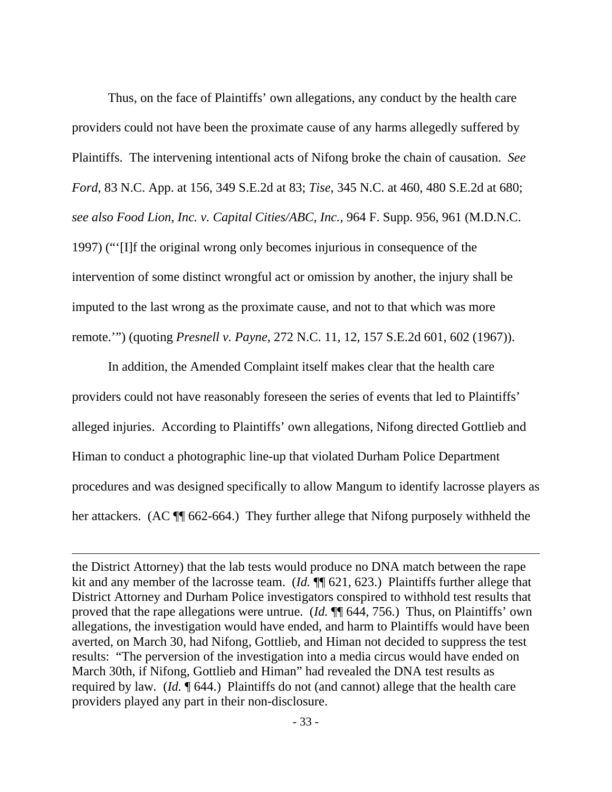Thus, on the face of Plaintiffs' own allegations, any conduct by the health care providers could not have been the proximate cause of any harms allegedly suffered by Plaintiffs. The intervening intentional acts of Nifong broke the chain of causation. *See Ford*, 83 N.C. App. at 156, 349 S.E.2d at 83; *Tise*, 345 N.C. at 460, 480 S.E.2d at 680; *see also Food Lion, Inc. v. Capital Cities/ABC, Inc.*, 964 F. Supp. 956, 961 (M.D.N.C. 1997) ("'[I]f the original wrong only becomes injurious in consequence of the intervention of some distinct wrongful act or omission by another, the injury shall be imputed to the last wrong as the proximate cause, and not to that which was more remote.'") (quoting *Presnell v. Payne*, 272 N.C. 11, 12, 157 S.E.2d 601, 602 (1967)).

In addition, the Amended Complaint itself makes clear that the health care providers could not have reasonably foreseen the series of events that led to Plaintiffs' alleged injuries. According to Plaintiffs' own allegations, Nifong directed Gottlieb and Himan to conduct a photographic line-up that violated Durham Police Department procedures and was designed specifically to allow Mangum to identify lacrosse players as her attackers. (AC  $\P$  662-664.) They further allege that Nifong purposely withheld the

the District Attorney) that the lab tests would produce no DNA match between the rape kit and any member of the lacrosse team. (*Id.*  $\P$  621, 623.) Plaintiffs further allege that District Attorney and Durham Police investigators conspired to withhold test results that proved that the rape allegations were untrue. (*Id.* ¶¶ 644, 756.) Thus, on Plaintiffs' own allegations, the investigation would have ended, and harm to Plaintiffs would have been averted, on March 30, had Nifong, Gottlieb, and Himan not decided to suppress the test results: "The perversion of the investigation into a media circus would have ended on March 30th, if Nifong, Gottlieb and Himan" had revealed the DNA test results as required by law*.* (*Id.* ¶ 644.) Plaintiffs do not (and cannot) allege that the health care providers played any part in their non-disclosure.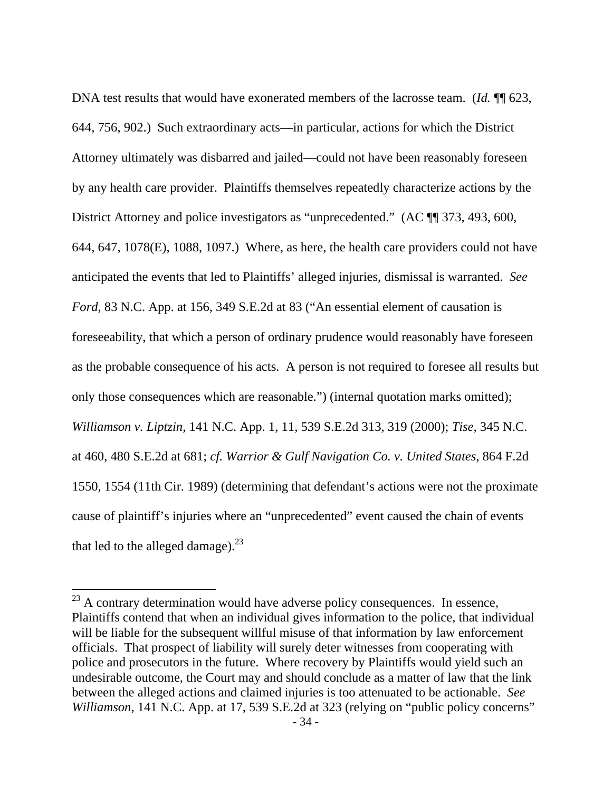DNA test results that would have exonerated members of the lacrosse team. (*Id.* ¶¶ 623, 644, 756, 902.) Such extraordinary acts—in particular, actions for which the District Attorney ultimately was disbarred and jailed—could not have been reasonably foreseen by any health care provider. Plaintiffs themselves repeatedly characterize actions by the District Attorney and police investigators as "unprecedented." (AC  $\P$  373, 493, 600, 644, 647, 1078(E), 1088, 1097.) Where, as here, the health care providers could not have anticipated the events that led to Plaintiffs' alleged injuries, dismissal is warranted. *See Ford*, 83 N.C. App. at 156, 349 S.E.2d at 83 ("An essential element of causation is foreseeability, that which a person of ordinary prudence would reasonably have foreseen as the probable consequence of his acts. A person is not required to foresee all results but only those consequences which are reasonable.") (internal quotation marks omitted); *Williamson v. Liptzin*, 141 N.C. App. 1, 11, 539 S.E.2d 313, 319 (2000); *Tise*, 345 N.C. at 460, 480 S.E.2d at 681; *cf. Warrior & Gulf Navigation Co. v. United States*, 864 F.2d 1550, 1554 (11th Cir. 1989) (determining that defendant's actions were not the proximate cause of plaintiff's injuries where an "unprecedented" event caused the chain of events that led to the alleged damage). $^{23}$ 

 $^{23}$  A contrary determination would have adverse policy consequences. In essence, Plaintiffs contend that when an individual gives information to the police, that individual will be liable for the subsequent willful misuse of that information by law enforcement officials. That prospect of liability will surely deter witnesses from cooperating with police and prosecutors in the future. Where recovery by Plaintiffs would yield such an undesirable outcome, the Court may and should conclude as a matter of law that the link between the alleged actions and claimed injuries is too attenuated to be actionable. *See Williamson*, 141 N.C. App. at 17, 539 S.E.2d at 323 (relying on "public policy concerns"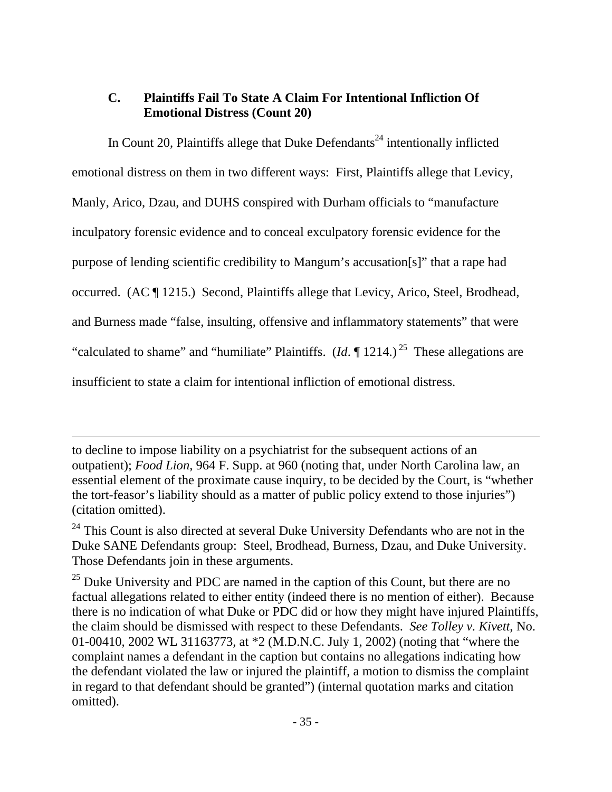# **C. Plaintiffs Fail To State A Claim For Intentional Infliction Of Emotional Distress (Count 20)**

In Count 20, Plaintiffs allege that Duke Defendants<sup> $24$ </sup> intentionally inflicted emotional distress on them in two different ways: First, Plaintiffs allege that Levicy, Manly, Arico, Dzau, and DUHS conspired with Durham officials to "manufacture inculpatory forensic evidence and to conceal exculpatory forensic evidence for the purpose of lending scientific credibility to Mangum's accusation[s]" that a rape had occurred. (AC ¶ 1215.) Second, Plaintiffs allege that Levicy, Arico, Steel, Brodhead, and Burness made "false, insulting, offensive and inflammatory statements" that were "calculated to shame" and "humiliate" Plaintiffs.  $(Id. \P 1214.)^{25}$  These allegations are insufficient to state a claim for intentional infliction of emotional distress.

to decline to impose liability on a psychiatrist for the subsequent actions of an outpatient); *Food Lion*, 964 F. Supp. at 960 (noting that, under North Carolina law, an essential element of the proximate cause inquiry, to be decided by the Court, is "whether the tort-feasor's liability should as a matter of public policy extend to those injuries") (citation omitted).

<sup>&</sup>lt;sup>24</sup> This Count is also directed at several Duke University Defendants who are not in the Duke SANE Defendants group: Steel, Brodhead, Burness, Dzau, and Duke University. Those Defendants join in these arguments.

 $25$  Duke University and PDC are named in the caption of this Count, but there are no factual allegations related to either entity (indeed there is no mention of either). Because there is no indication of what Duke or PDC did or how they might have injured Plaintiffs, the claim should be dismissed with respect to these Defendants. *See Tolley v. Kivett*, No. 01-00410, 2002 WL 31163773, at \*2 (M.D.N.C. July 1, 2002) (noting that "where the complaint names a defendant in the caption but contains no allegations indicating how the defendant violated the law or injured the plaintiff, a motion to dismiss the complaint in regard to that defendant should be granted") (internal quotation marks and citation omitted).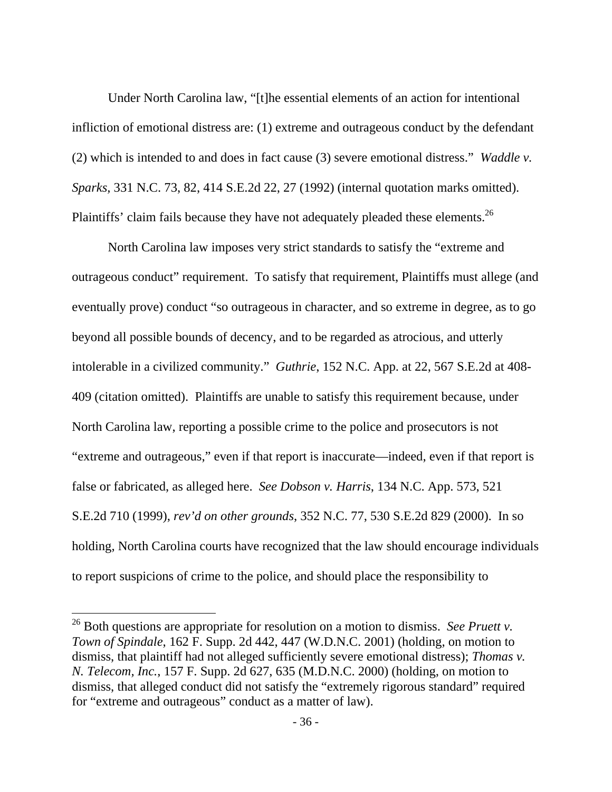Under North Carolina law, "[t]he essential elements of an action for intentional infliction of emotional distress are: (1) extreme and outrageous conduct by the defendant (2) which is intended to and does in fact cause (3) severe emotional distress." *Waddle v. Sparks,* 331 N.C. 73, 82, 414 S.E.2d 22, 27 (1992) (internal quotation marks omitted). Plaintiffs' claim fails because they have not adequately pleaded these elements.<sup>26</sup>

 North Carolina law imposes very strict standards to satisfy the "extreme and outrageous conduct" requirement. To satisfy that requirement, Plaintiffs must allege (and eventually prove) conduct "so outrageous in character, and so extreme in degree, as to go beyond all possible bounds of decency, and to be regarded as atrocious, and utterly intolerable in a civilized community." *Guthrie*, 152 N.C. App. at 22, 567 S.E.2d at 408- 409 (citation omitted). Plaintiffs are unable to satisfy this requirement because, under North Carolina law, reporting a possible crime to the police and prosecutors is not "extreme and outrageous," even if that report is inaccurate—indeed, even if that report is false or fabricated, as alleged here. *See Dobson v. Harris*, 134 N.C. App. 573, 521 S.E.2d 710 (1999), *rev'd on other grounds*, 352 N.C. 77, 530 S.E.2d 829 (2000). In so holding, North Carolina courts have recognized that the law should encourage individuals to report suspicions of crime to the police, and should place the responsibility to

<sup>26</sup> Both questions are appropriate for resolution on a motion to dismiss. *See Pruett v. Town of Spindale*, 162 F. Supp. 2d 442, 447 (W.D.N.C. 2001) (holding, on motion to dismiss, that plaintiff had not alleged sufficiently severe emotional distress); *Thomas v. N. Telecom, Inc.*, 157 F. Supp. 2d 627, 635 (M.D.N.C. 2000) (holding, on motion to dismiss, that alleged conduct did not satisfy the "extremely rigorous standard" required for "extreme and outrageous" conduct as a matter of law).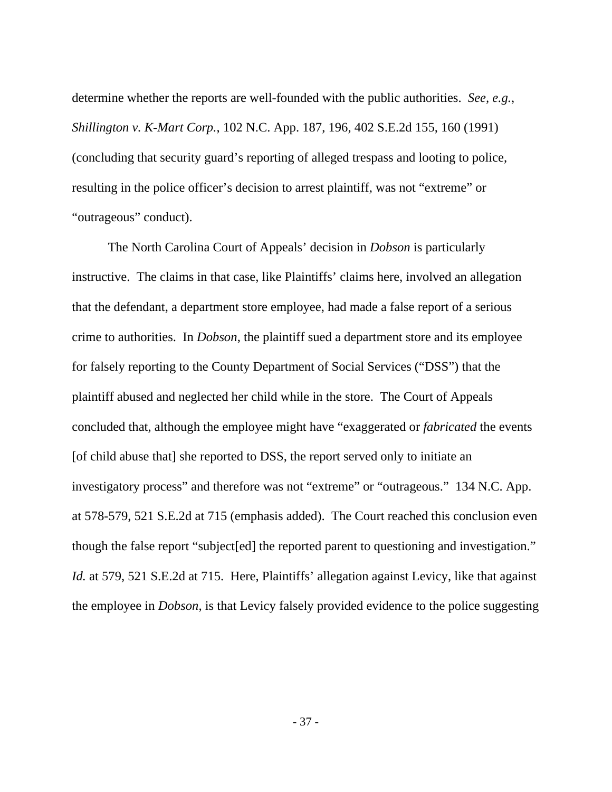determine whether the reports are well-founded with the public authorities. *See, e.g.*, *Shillington v. K-Mart Corp.*, 102 N.C. App. 187, 196, 402 S.E.2d 155, 160 (1991) (concluding that security guard's reporting of alleged trespass and looting to police, resulting in the police officer's decision to arrest plaintiff, was not "extreme" or "outrageous" conduct).

 The North Carolina Court of Appeals' decision in *Dobson* is particularly instructive. The claims in that case, like Plaintiffs' claims here, involved an allegation that the defendant, a department store employee, had made a false report of a serious crime to authorities. In *Dobson*, the plaintiff sued a department store and its employee for falsely reporting to the County Department of Social Services ("DSS") that the plaintiff abused and neglected her child while in the store. The Court of Appeals concluded that, although the employee might have "exaggerated or *fabricated* the events [of child abuse that] she reported to DSS, the report served only to initiate an investigatory process" and therefore was not "extreme" or "outrageous." 134 N.C. App. at 578-579, 521 S.E.2d at 715 (emphasis added). The Court reached this conclusion even though the false report "subject[ed] the reported parent to questioning and investigation." *Id.* at 579, 521 S.E.2d at 715. Here, Plaintiffs' allegation against Levicy, like that against the employee in *Dobson*, is that Levicy falsely provided evidence to the police suggesting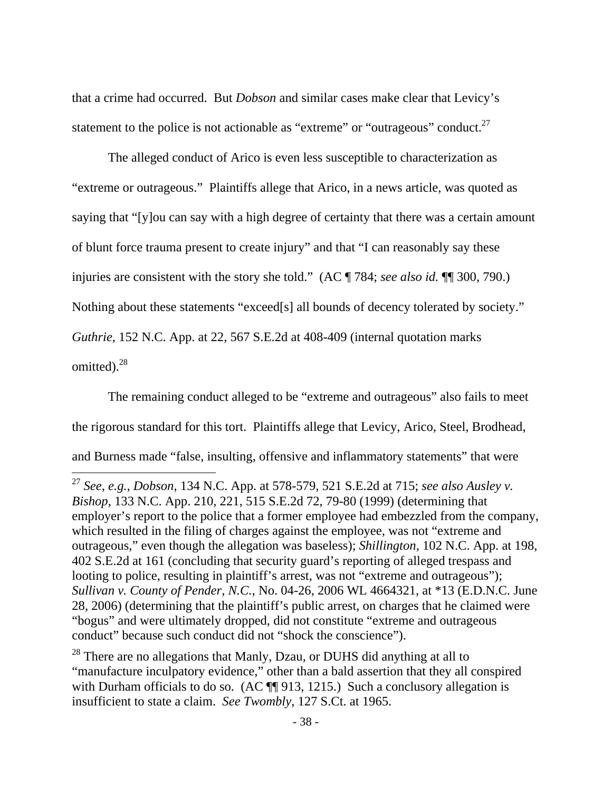that a crime had occurred. But *Dobson* and similar cases make clear that Levicy's statement to the police is not actionable as "extreme" or "outrageous" conduct.<sup>27</sup>

 The alleged conduct of Arico is even less susceptible to characterization as "extreme or outrageous." Plaintiffs allege that Arico, in a news article, was quoted as saying that "[y]ou can say with a high degree of certainty that there was a certain amount of blunt force trauma present to create injury" and that "I can reasonably say these injuries are consistent with the story she told." (AC ¶ 784; *see also id.* ¶¶ 300, 790.) Nothing about these statements "exceed[s] all bounds of decency tolerated by society." *Guthrie*, 152 N.C. App. at 22, 567 S.E.2d at 408-409 (internal quotation marks omitted).<sup>28</sup>

 The remaining conduct alleged to be "extreme and outrageous" also fails to meet the rigorous standard for this tort. Plaintiffs allege that Levicy, Arico, Steel, Brodhead, and Burness made "false, insulting, offensive and inflammatory statements" that were

<sup>27</sup> *See, e.g.*, *Dobson*, 134 N.C. App. at 578-579, 521 S.E.2d at 715; *see also Ausley v. Bishop*, 133 N.C. App. 210, 221, 515 S.E.2d 72, 79-80 (1999) (determining that employer's report to the police that a former employee had embezzled from the company, which resulted in the filing of charges against the employee, was not "extreme and outrageous," even though the allegation was baseless); *Shillington*, 102 N.C. App. at 198, 402 S.E.2d at 161 (concluding that security guard's reporting of alleged trespass and looting to police, resulting in plaintiff's arrest, was not "extreme and outrageous"); *Sullivan v. County of Pender, N.C.*, No. 04-26, 2006 WL 4664321, at \*13 (E.D.N.C. June 28, 2006) (determining that the plaintiff's public arrest, on charges that he claimed were "bogus" and were ultimately dropped, did not constitute "extreme and outrageous conduct" because such conduct did not "shock the conscience").

<sup>&</sup>lt;sup>28</sup> There are no allegations that Manly, Dzau, or DUHS did anything at all to "manufacture inculpatory evidence," other than a bald assertion that they all conspired with Durham officials to do so. (AC  $\P$  913, 1215.) Such a conclusory allegation is insufficient to state a claim. *See Twombly*, 127 S.Ct. at 1965.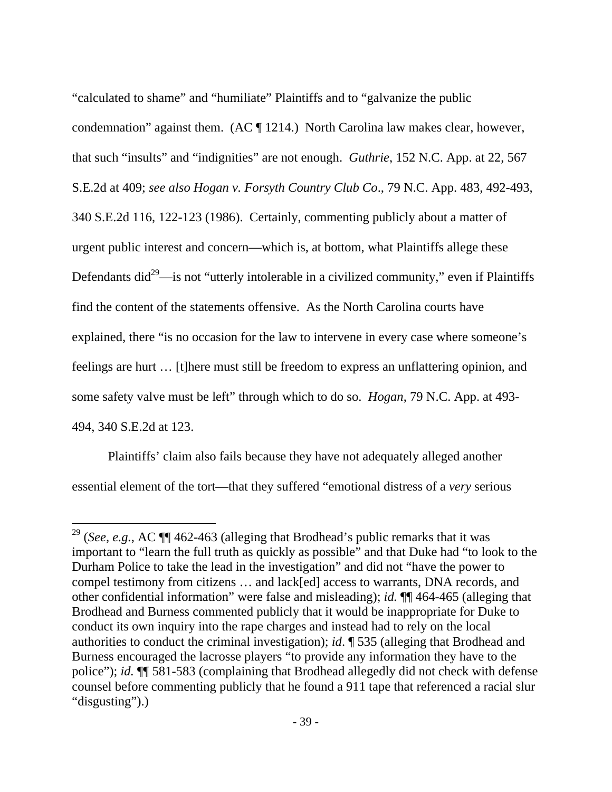"calculated to shame" and "humiliate" Plaintiffs and to "galvanize the public condemnation" against them. (AC ¶ 1214.) North Carolina law makes clear, however, that such "insults" and "indignities" are not enough. *Guthrie*, 152 N.C. App. at 22, 567 S.E.2d at 409; *see also Hogan v. Forsyth Country Club Co*., 79 N.C. App. 483, 492-493, 340 S.E.2d 116, 122-123 (1986). Certainly, commenting publicly about a matter of urgent public interest and concern—which is, at bottom, what Plaintiffs allege these Defendants did<sup>29</sup>—is not "utterly intolerable in a civilized community," even if Plaintiffs find the content of the statements offensive. As the North Carolina courts have explained, there "is no occasion for the law to intervene in every case where someone's feelings are hurt … [t]here must still be freedom to express an unflattering opinion, and some safety valve must be left" through which to do so. *Hogan*, 79 N.C. App. at 493- 494, 340 S.E.2d at 123.

 Plaintiffs' claim also fails because they have not adequately alleged another essential element of the tort—that they suffered "emotional distress of a *very* serious

<sup>29 (</sup>*See, e.g.*, AC ¶¶ 462-463 (alleging that Brodhead's public remarks that it was important to "learn the full truth as quickly as possible" and that Duke had "to look to the Durham Police to take the lead in the investigation" and did not "have the power to compel testimony from citizens … and lack[ed] access to warrants, DNA records, and other confidential information" were false and misleading); *id.* ¶¶ 464-465 (alleging that Brodhead and Burness commented publicly that it would be inappropriate for Duke to conduct its own inquiry into the rape charges and instead had to rely on the local authorities to conduct the criminal investigation); *id*. ¶ 535 (alleging that Brodhead and Burness encouraged the lacrosse players "to provide any information they have to the police"); *id.* ¶¶ 581-583 (complaining that Brodhead allegedly did not check with defense counsel before commenting publicly that he found a 911 tape that referenced a racial slur "disgusting").)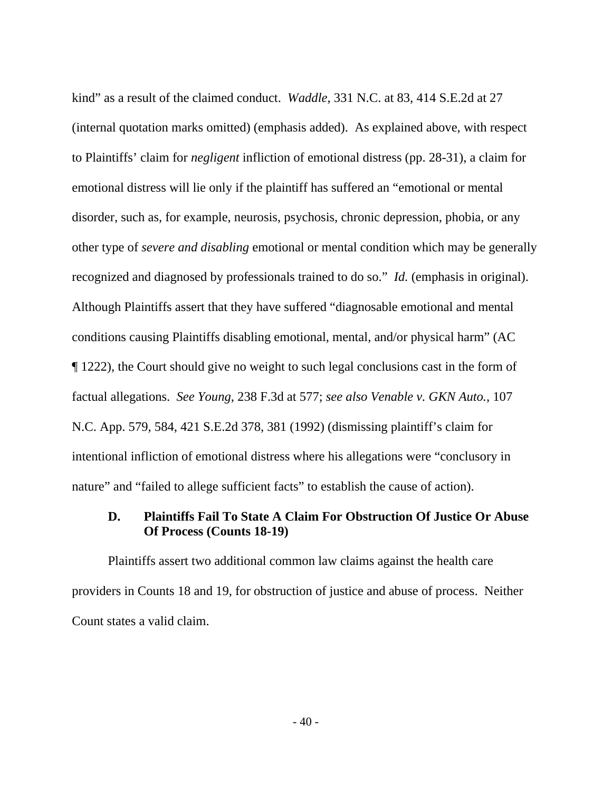kind" as a result of the claimed conduct. *Waddle*, 331 N.C. at 83, 414 S.E.2d at 27 (internal quotation marks omitted) (emphasis added). As explained above, with respect to Plaintiffs' claim for *negligent* infliction of emotional distress (pp. 28-31), a claim for emotional distress will lie only if the plaintiff has suffered an "emotional or mental disorder, such as, for example, neurosis, psychosis, chronic depression, phobia, or any other type of *severe and disabling* emotional or mental condition which may be generally recognized and diagnosed by professionals trained to do so." *Id.* (emphasis in original). Although Plaintiffs assert that they have suffered "diagnosable emotional and mental conditions causing Plaintiffs disabling emotional, mental, and/or physical harm" (AC ¶ 1222), the Court should give no weight to such legal conclusions cast in the form of factual allegations. *See Young*, 238 F.3d at 577; *see also Venable v. GKN Auto.*, 107 N.C. App. 579, 584, 421 S.E.2d 378, 381 (1992) (dismissing plaintiff's claim for intentional infliction of emotional distress where his allegations were "conclusory in nature" and "failed to allege sufficient facts" to establish the cause of action).

# **D. Plaintiffs Fail To State A Claim For Obstruction Of Justice Or Abuse Of Process (Counts 18-19)**

 Plaintiffs assert two additional common law claims against the health care providers in Counts 18 and 19, for obstruction of justice and abuse of process. Neither Count states a valid claim.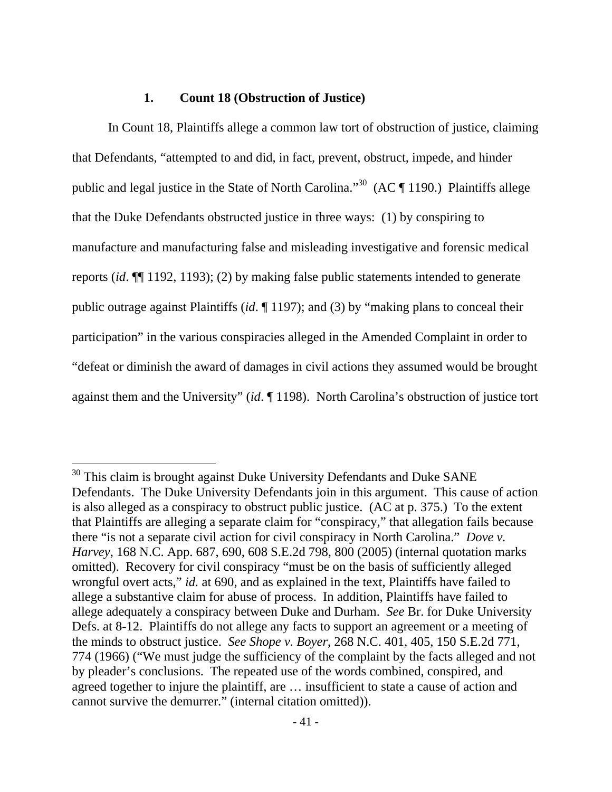#### **1. Count 18 (Obstruction of Justice)**

 $\overline{a}$ 

In Count 18, Plaintiffs allege a common law tort of obstruction of justice, claiming that Defendants, "attempted to and did, in fact, prevent, obstruct, impede, and hinder public and legal justice in the State of North Carolina."<sup>30</sup> (AC  $\P$  1190.) Plaintiffs allege that the Duke Defendants obstructed justice in three ways: (1) by conspiring to manufacture and manufacturing false and misleading investigative and forensic medical reports (*id*. ¶¶ 1192, 1193); (2) by making false public statements intended to generate public outrage against Plaintiffs (*id*. ¶ 1197); and (3) by "making plans to conceal their participation" in the various conspiracies alleged in the Amended Complaint in order to "defeat or diminish the award of damages in civil actions they assumed would be brought against them and the University" (*id*. ¶ 1198). North Carolina's obstruction of justice tort

 $30$  This claim is brought against Duke University Defendants and Duke SANE Defendants. The Duke University Defendants join in this argument. This cause of action is also alleged as a conspiracy to obstruct public justice. (AC at p. 375.) To the extent that Plaintiffs are alleging a separate claim for "conspiracy," that allegation fails because there "is not a separate civil action for civil conspiracy in North Carolina." *Dove v. Harvey*, 168 N.C. App. 687, 690, 608 S.E.2d 798, 800 (2005) (internal quotation marks omitted). Recovery for civil conspiracy "must be on the basis of sufficiently alleged wrongful overt acts," *id.* at 690, and as explained in the text, Plaintiffs have failed to allege a substantive claim for abuse of process. In addition, Plaintiffs have failed to allege adequately a conspiracy between Duke and Durham. *See* Br. for Duke University Defs. at 8-12. Plaintiffs do not allege any facts to support an agreement or a meeting of the minds to obstruct justice. *See Shope v. Boyer*, 268 N.C. 401, 405, 150 S.E.2d 771, 774 (1966) ("We must judge the sufficiency of the complaint by the facts alleged and not by pleader's conclusions. The repeated use of the words combined, conspired, and agreed together to injure the plaintiff, are … insufficient to state a cause of action and cannot survive the demurrer." (internal citation omitted)).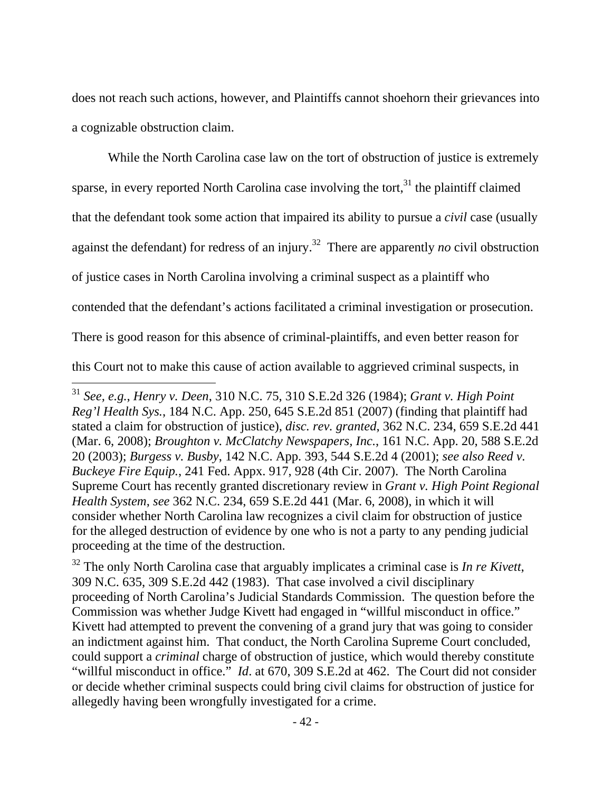does not reach such actions, however, and Plaintiffs cannot shoehorn their grievances into a cognizable obstruction claim.

 While the North Carolina case law on the tort of obstruction of justice is extremely sparse, in every reported North Carolina case involving the tort, $31$  the plaintiff claimed that the defendant took some action that impaired its ability to pursue a *civil* case (usually against the defendant) for redress of an injury.32 There are apparently *no* civil obstruction of justice cases in North Carolina involving a criminal suspect as a plaintiff who contended that the defendant's actions facilitated a criminal investigation or prosecution. There is good reason for this absence of criminal-plaintiffs, and even better reason for this Court not to make this cause of action available to aggrieved criminal suspects, in  $\overline{a}$ 

<sup>31</sup> *See, e.g.*, *Henry v. Deen*, 310 N.C. 75, 310 S.E.2d 326 (1984); *Grant v. High Point Reg'l Health Sys.*, 184 N.C. App. 250, 645 S.E.2d 851 (2007) (finding that plaintiff had stated a claim for obstruction of justice), *disc. rev. granted*, 362 N.C. 234, 659 S.E.2d 441 (Mar. 6, 2008); *Broughton v. McClatchy Newspapers, Inc.*, 161 N.C. App. 20, 588 S.E.2d 20 (2003); *Burgess v. Busby*, 142 N.C. App. 393, 544 S.E.2d 4 (2001); *see also Reed v. Buckeye Fire Equip.*, 241 Fed. Appx. 917, 928 (4th Cir. 2007). The North Carolina Supreme Court has recently granted discretionary review in *Grant v. High Point Regional Health System*, *see* 362 N.C. 234, 659 S.E.2d 441 (Mar. 6, 2008), in which it will consider whether North Carolina law recognizes a civil claim for obstruction of justice for the alleged destruction of evidence by one who is not a party to any pending judicial proceeding at the time of the destruction.

<sup>32</sup> The only North Carolina case that arguably implicates a criminal case is *In re Kivett*, 309 N.C. 635, 309 S.E.2d 442 (1983). That case involved a civil disciplinary proceeding of North Carolina's Judicial Standards Commission. The question before the Commission was whether Judge Kivett had engaged in "willful misconduct in office." Kivett had attempted to prevent the convening of a grand jury that was going to consider an indictment against him. That conduct, the North Carolina Supreme Court concluded, could support a *criminal* charge of obstruction of justice, which would thereby constitute "willful misconduct in office." *Id*. at 670, 309 S.E.2d at 462. The Court did not consider or decide whether criminal suspects could bring civil claims for obstruction of justice for allegedly having been wrongfully investigated for a crime.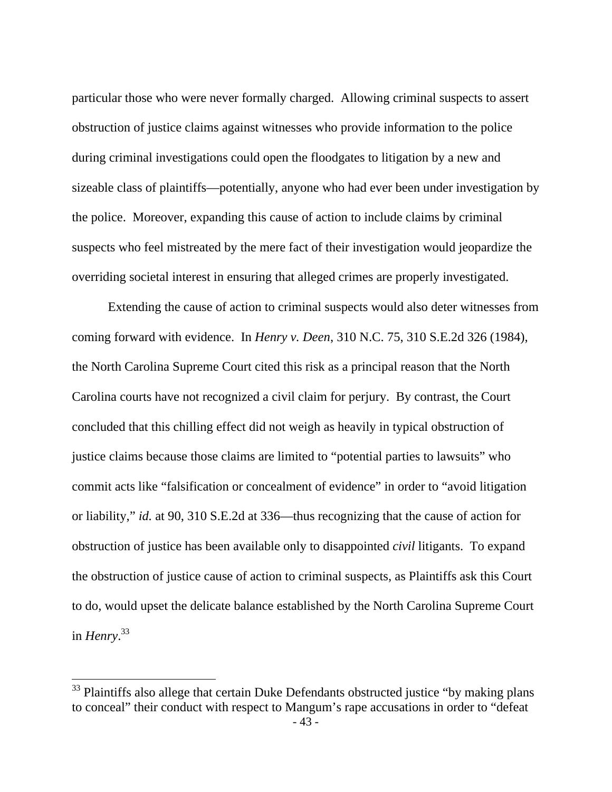particular those who were never formally charged. Allowing criminal suspects to assert obstruction of justice claims against witnesses who provide information to the police during criminal investigations could open the floodgates to litigation by a new and sizeable class of plaintiffs—potentially, anyone who had ever been under investigation by the police. Moreover, expanding this cause of action to include claims by criminal suspects who feel mistreated by the mere fact of their investigation would jeopardize the overriding societal interest in ensuring that alleged crimes are properly investigated.

 Extending the cause of action to criminal suspects would also deter witnesses from coming forward with evidence. In *Henry v. Deen*, 310 N.C. 75, 310 S.E.2d 326 (1984), the North Carolina Supreme Court cited this risk as a principal reason that the North Carolina courts have not recognized a civil claim for perjury. By contrast, the Court concluded that this chilling effect did not weigh as heavily in typical obstruction of justice claims because those claims are limited to "potential parties to lawsuits" who commit acts like "falsification or concealment of evidence" in order to "avoid litigation or liability," *id.* at 90, 310 S.E.2d at 336—thus recognizing that the cause of action for obstruction of justice has been available only to disappointed *civil* litigants. To expand the obstruction of justice cause of action to criminal suspects, as Plaintiffs ask this Court to do, would upset the delicate balance established by the North Carolina Supreme Court in *Henry*. 33

 $33$  Plaintiffs also allege that certain Duke Defendants obstructed justice "by making plans" to conceal" their conduct with respect to Mangum's rape accusations in order to "defeat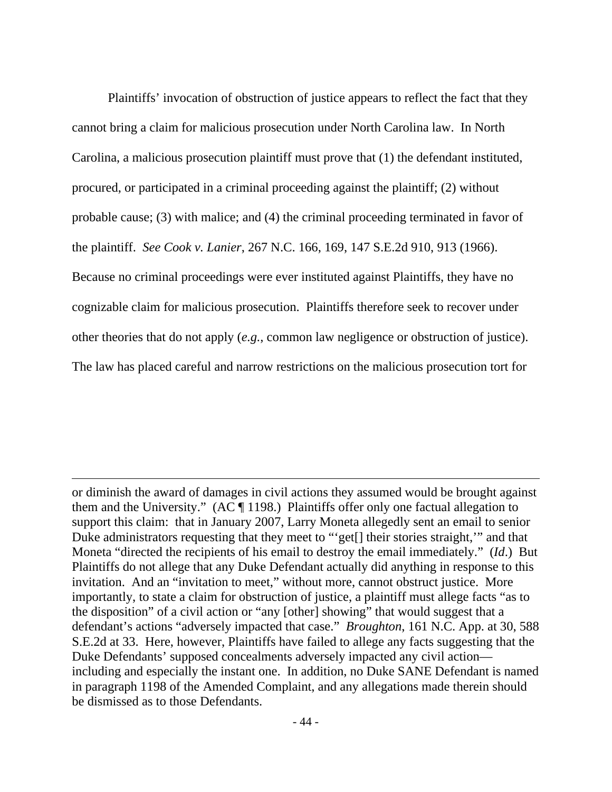Plaintiffs' invocation of obstruction of justice appears to reflect the fact that they cannot bring a claim for malicious prosecution under North Carolina law. In North Carolina, a malicious prosecution plaintiff must prove that (1) the defendant instituted, procured, or participated in a criminal proceeding against the plaintiff; (2) without probable cause; (3) with malice; and (4) the criminal proceeding terminated in favor of the plaintiff. *See Cook v. Lanier*, 267 N.C. 166, 169, 147 S.E.2d 910, 913 (1966). Because no criminal proceedings were ever instituted against Plaintiffs, they have no cognizable claim for malicious prosecution. Plaintiffs therefore seek to recover under other theories that do not apply (*e.g.*, common law negligence or obstruction of justice). The law has placed careful and narrow restrictions on the malicious prosecution tort for

or diminish the award of damages in civil actions they assumed would be brought against them and the University." (AC ¶ 1198.) Plaintiffs offer only one factual allegation to support this claim: that in January 2007, Larry Moneta allegedly sent an email to senior Duke administrators requesting that they meet to "'get[] their stories straight,'" and that Moneta "directed the recipients of his email to destroy the email immediately." (*Id*.) But Plaintiffs do not allege that any Duke Defendant actually did anything in response to this invitation. And an "invitation to meet," without more, cannot obstruct justice. More importantly, to state a claim for obstruction of justice, a plaintiff must allege facts "as to the disposition" of a civil action or "any [other] showing" that would suggest that a defendant's actions "adversely impacted that case." *Broughton*, 161 N.C. App. at 30, 588 S.E.2d at 33. Here, however, Plaintiffs have failed to allege any facts suggesting that the Duke Defendants' supposed concealments adversely impacted any civil action including and especially the instant one. In addition, no Duke SANE Defendant is named in paragraph 1198 of the Amended Complaint, and any allegations made therein should be dismissed as to those Defendants.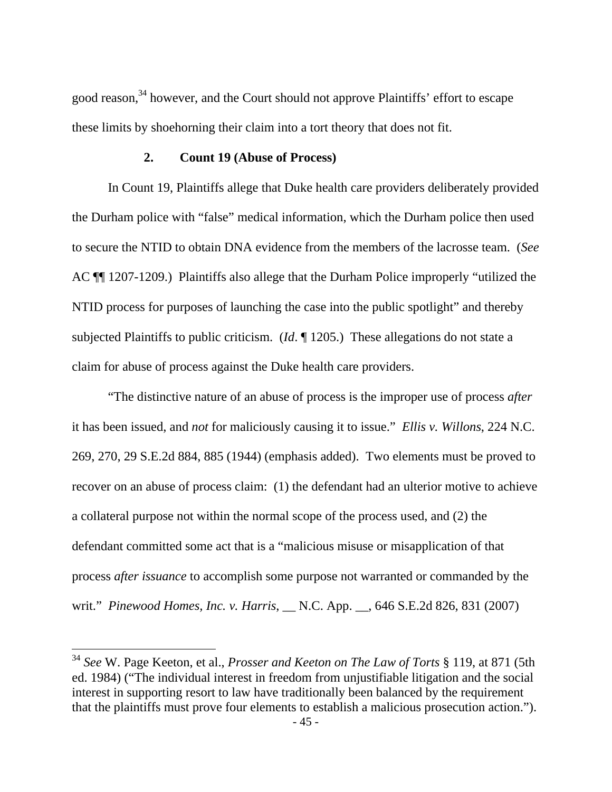good reason,<sup>34</sup> however, and the Court should not approve Plaintiffs' effort to escape these limits by shoehorning their claim into a tort theory that does not fit.

### **2. Count 19 (Abuse of Process)**

In Count 19, Plaintiffs allege that Duke health care providers deliberately provided the Durham police with "false" medical information, which the Durham police then used to secure the NTID to obtain DNA evidence from the members of the lacrosse team. (*See* AC ¶¶ 1207-1209.) Plaintiffs also allege that the Durham Police improperly "utilized the NTID process for purposes of launching the case into the public spotlight" and thereby subjected Plaintiffs to public criticism. (*Id*. ¶ 1205.) These allegations do not state a claim for abuse of process against the Duke health care providers.

 "The distinctive nature of an abuse of process is the improper use of process *after* it has been issued, and *not* for maliciously causing it to issue." *Ellis v. Willons*, 224 N.C. 269, 270, 29 S.E.2d 884, 885 (1944) (emphasis added). Two elements must be proved to recover on an abuse of process claim: (1) the defendant had an ulterior motive to achieve a collateral purpose not within the normal scope of the process used, and (2) the defendant committed some act that is a "malicious misuse or misapplication of that process *after issuance* to accomplish some purpose not warranted or commanded by the writ." *Pinewood Homes, Inc. v. Harris*, \_\_ N.C. App. \_\_, 646 S.E.2d 826, 831 (2007)

<sup>34</sup> *See* W. Page Keeton, et al., *Prosser and Keeton on The Law of Torts* § 119, at 871 (5th ed. 1984) ("The individual interest in freedom from unjustifiable litigation and the social interest in supporting resort to law have traditionally been balanced by the requirement that the plaintiffs must prove four elements to establish a malicious prosecution action.").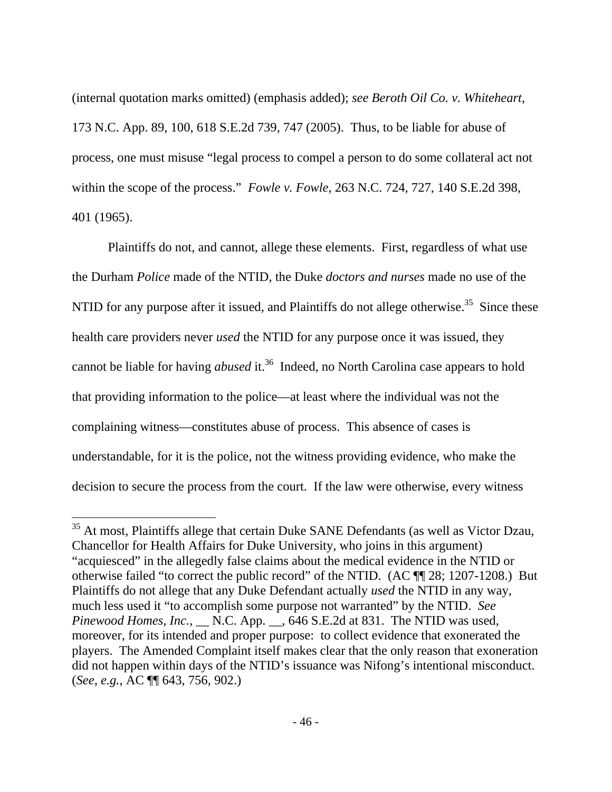(internal quotation marks omitted) (emphasis added); *see Beroth Oil Co. v. Whiteheart*, 173 N.C. App. 89, 100, 618 S.E.2d 739, 747 (2005). Thus, to be liable for abuse of process, one must misuse "legal process to compel a person to do some collateral act not within the scope of the process." *Fowle v. Fowle*, 263 N.C. 724, 727, 140 S.E.2d 398, 401 (1965).

 Plaintiffs do not, and cannot, allege these elements. First, regardless of what use the Durham *Police* made of the NTID, the Duke *doctors and nurses* made no use of the NTID for any purpose after it issued, and Plaintiffs do not allege otherwise.<sup>35</sup> Since these health care providers never *used* the NTID for any purpose once it was issued, they cannot be liable for having *abused* it.<sup>36</sup> Indeed, no North Carolina case appears to hold that providing information to the police—at least where the individual was not the complaining witness—constitutes abuse of process. This absence of cases is understandable, for it is the police, not the witness providing evidence, who make the decision to secure the process from the court. If the law were otherwise, every witness

<sup>&</sup>lt;sup>35</sup> At most, Plaintiffs allege that certain Duke SANE Defendants (as well as Victor Dzau, Chancellor for Health Affairs for Duke University, who joins in this argument) "acquiesced" in the allegedly false claims about the medical evidence in the NTID or otherwise failed "to correct the public record" of the NTID. (AC ¶¶ 28; 1207-1208.) But Plaintiffs do not allege that any Duke Defendant actually *used* the NTID in any way, much less used it "to accomplish some purpose not warranted" by the NTID. *See Pinewood Homes, Inc.*, \_\_ N.C. App. \_\_, 646 S.E.2d at 831. The NTID was used, moreover, for its intended and proper purpose: to collect evidence that exonerated the players. The Amended Complaint itself makes clear that the only reason that exoneration did not happen within days of the NTID's issuance was Nifong's intentional misconduct. (*See, e.g.*, AC ¶¶ 643, 756, 902.)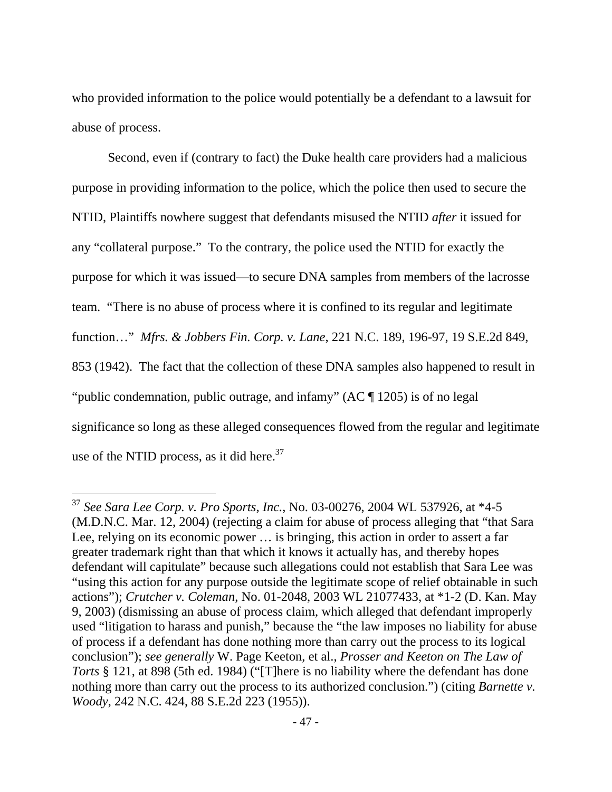who provided information to the police would potentially be a defendant to a lawsuit for abuse of process.

Second, even if (contrary to fact) the Duke health care providers had a malicious purpose in providing information to the police, which the police then used to secure the NTID, Plaintiffs nowhere suggest that defendants misused the NTID *after* it issued for any "collateral purpose." To the contrary, the police used the NTID for exactly the purpose for which it was issued—to secure DNA samples from members of the lacrosse team. "There is no abuse of process where it is confined to its regular and legitimate function…" *Mfrs. & Jobbers Fin. Corp. v. Lane*, 221 N.C. 189, 196-97, 19 S.E.2d 849, 853 (1942). The fact that the collection of these DNA samples also happened to result in "public condemnation, public outrage, and infamy" (AC ¶ 1205) is of no legal significance so long as these alleged consequences flowed from the regular and legitimate use of the NTID process, as it did here.<sup>37</sup>

<sup>37</sup> *See Sara Lee Corp. v. Pro Sports, Inc.*, No. 03-00276, 2004 WL 537926, at \*4-5 (M.D.N.C. Mar. 12, 2004) (rejecting a claim for abuse of process alleging that "that Sara Lee, relying on its economic power … is bringing, this action in order to assert a far greater trademark right than that which it knows it actually has, and thereby hopes defendant will capitulate" because such allegations could not establish that Sara Lee was "using this action for any purpose outside the legitimate scope of relief obtainable in such actions"); *Crutcher v. Coleman*, No. 01-2048, 2003 WL 21077433, at \*1-2 (D. Kan. May 9, 2003) (dismissing an abuse of process claim, which alleged that defendant improperly used "litigation to harass and punish," because the "the law imposes no liability for abuse of process if a defendant has done nothing more than carry out the process to its logical conclusion"); *see generally* W. Page Keeton, et al., *Prosser and Keeton on The Law of Torts* § 121, at 898 (5th ed. 1984) ("[T]here is no liability where the defendant has done nothing more than carry out the process to its authorized conclusion.") (citing *Barnette v. Woody*, 242 N.C. 424, 88 S.E.2d 223 (1955)).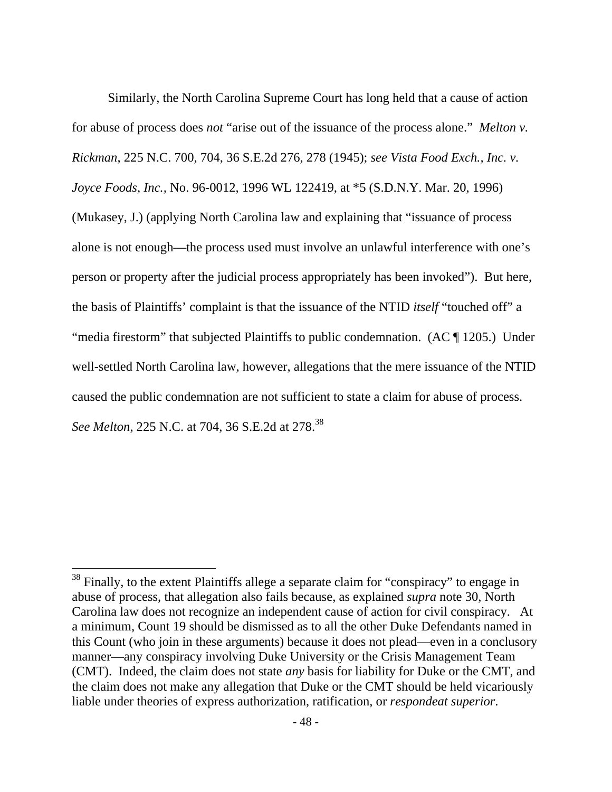Similarly, the North Carolina Supreme Court has long held that a cause of action for abuse of process does *not* "arise out of the issuance of the process alone." *Melton v. Rickman*, 225 N.C. 700, 704, 36 S.E.2d 276, 278 (1945); *see Vista Food Exch., Inc. v. Joyce Foods, Inc.,* No. 96-0012, 1996 WL 122419, at \*5 (S.D.N.Y. Mar. 20, 1996) (Mukasey, J.) (applying North Carolina law and explaining that "issuance of process alone is not enough—the process used must involve an unlawful interference with one's person or property after the judicial process appropriately has been invoked"). But here, the basis of Plaintiffs' complaint is that the issuance of the NTID *itself* "touched off" a "media firestorm" that subjected Plaintiffs to public condemnation. (AC ¶ 1205.) Under well-settled North Carolina law, however, allegations that the mere issuance of the NTID caused the public condemnation are not sufficient to state a claim for abuse of process. *See Melton*, 225 N.C. at 704, 36 S.E.2d at 278.<sup>38</sup>

 $38$  Finally, to the extent Plaintiffs allege a separate claim for "conspiracy" to engage in abuse of process, that allegation also fails because, as explained *supra* note 30, North Carolina law does not recognize an independent cause of action for civil conspiracy. At a minimum, Count 19 should be dismissed as to all the other Duke Defendants named in this Count (who join in these arguments) because it does not plead—even in a conclusory manner—any conspiracy involving Duke University or the Crisis Management Team (CMT). Indeed, the claim does not state *any* basis for liability for Duke or the CMT, and the claim does not make any allegation that Duke or the CMT should be held vicariously liable under theories of express authorization, ratification, or *respondeat superior*.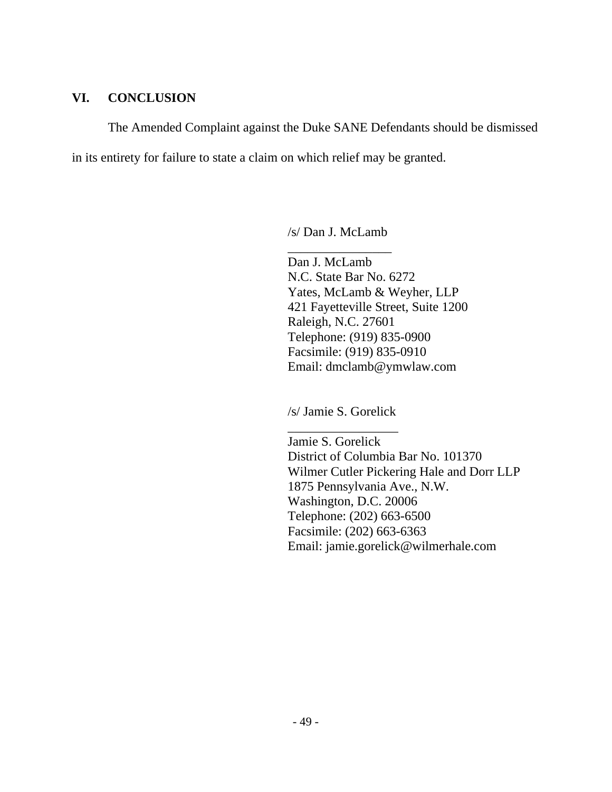# **VI. CONCLUSION**

The Amended Complaint against the Duke SANE Defendants should be dismissed

in its entirety for failure to state a claim on which relief may be granted.

/s/ Dan J. McLamb \_\_\_\_\_\_\_\_\_\_\_\_\_\_\_\_

Dan J. McLamb N.C. State Bar No. 6272 Yates, McLamb & Weyher, LLP 421 Fayetteville Street, Suite 1200 Raleigh, N.C. 27601 Telephone: (919) 835-0900 Facsimile: (919) 835-0910 Email: dmclamb@ymwlaw.com

/s/ Jamie S. Gorelick

\_\_\_\_\_\_\_\_\_\_\_\_\_\_\_\_\_ Jamie S. Gorelick District of Columbia Bar No. 101370 Wilmer Cutler Pickering Hale and Dorr LLP 1875 Pennsylvania Ave., N.W. Washington, D.C. 20006 Telephone: (202) 663-6500 Facsimile: (202) 663-6363 Email: jamie.gorelick@wilmerhale.com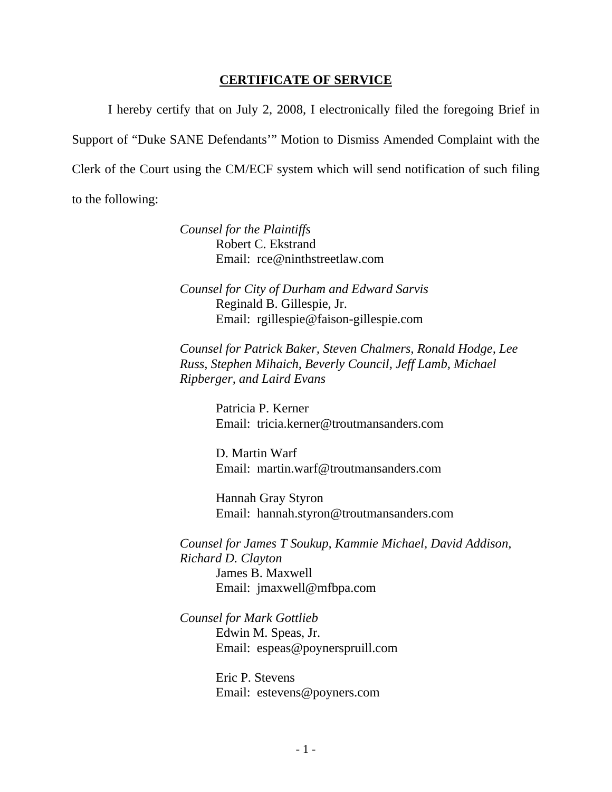### **CERTIFICATE OF SERVICE**

I hereby certify that on July 2, 2008, I electronically filed the foregoing Brief in Support of "Duke SANE Defendants'" Motion to Dismiss Amended Complaint with the Clerk of the Court using the CM/ECF system which will send notification of such filing to the following:

> *Counsel for the Plaintiffs*  Robert C. Ekstrand Email: rce@ninthstreetlaw.com

*Counsel for City of Durham and Edward Sarvis*  Reginald B. Gillespie, Jr. Email: rgillespie@faison-gillespie.com

*Counsel for Patrick Baker, Steven Chalmers, Ronald Hodge, Lee Russ, Stephen Mihaich, Beverly Council, Jeff Lamb, Michael Ripberger, and Laird Evans* 

> Patricia P. Kerner Email: tricia.kerner@troutmansanders.com

> D. Martin Warf Email: martin.warf@troutmansanders.com

 Hannah Gray Styron Email: hannah.styron@troutmansanders.com

*Counsel for James T Soukup, Kammie Michael, David Addison, Richard D. Clayton*  James B. Maxwell Email: jmaxwell@mfbpa.com

*Counsel for Mark Gottlieb*  Edwin M. Speas, Jr. Email: espeas@poynerspruill.com

> Eric P. Stevens Email: estevens@poyners.com